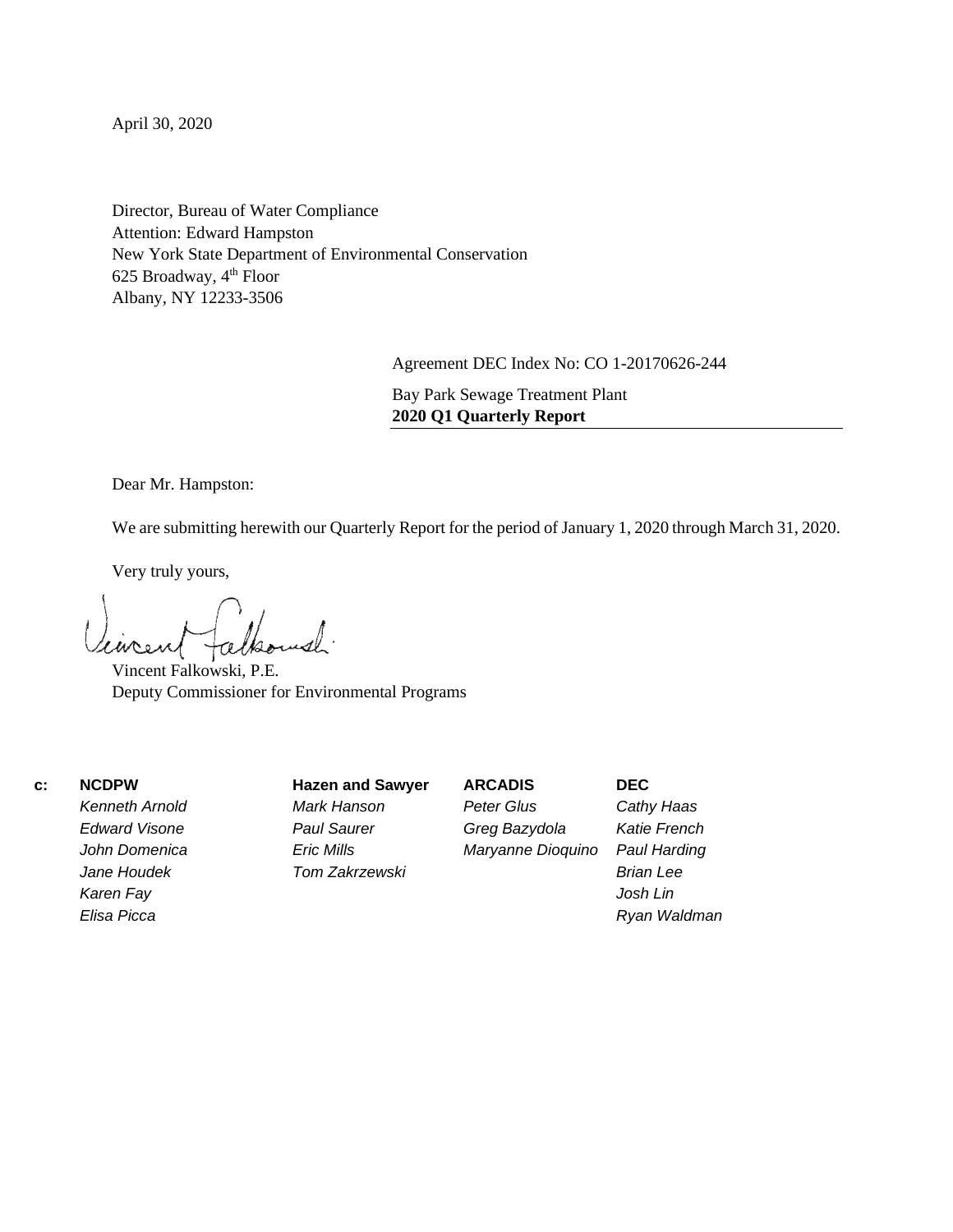April 30, 2020

Director, Bureau of Water Compliance Attention: Edward Hampston New York State Department of Environmental Conservation 625 Broadway, 4th Floor Albany, NY 12233-3506

Agreement DEC Index No: CO 1-20170626-244

Bay Park Sewage Treatment Plant **2020 Q1 Quarterly Report**

Dear Mr. Hampston:

We are submitting herewith our Quarterly Report for the period of January 1, 2020 through March 31, 2020.

Very truly yours,

Vincent Falkowski, P.E. Deputy Commissioner for Environmental Programs

 **c: NCDPW**

*Kenneth Arnold Edward Visone John Domenica Jane Houdek Karen Fay Elisa Picca*

**Hazen and Sawyer** *Mark Hanson Paul Saurer Eric Mills Tom Zakrzewski*

**ARCADIS** *Peter Glus Greg Bazydola Maryanne Dioquino*

*Cathy Haas Katie French Paul Harding Brian Lee Josh Lin Ryan Waldman*

**DEC**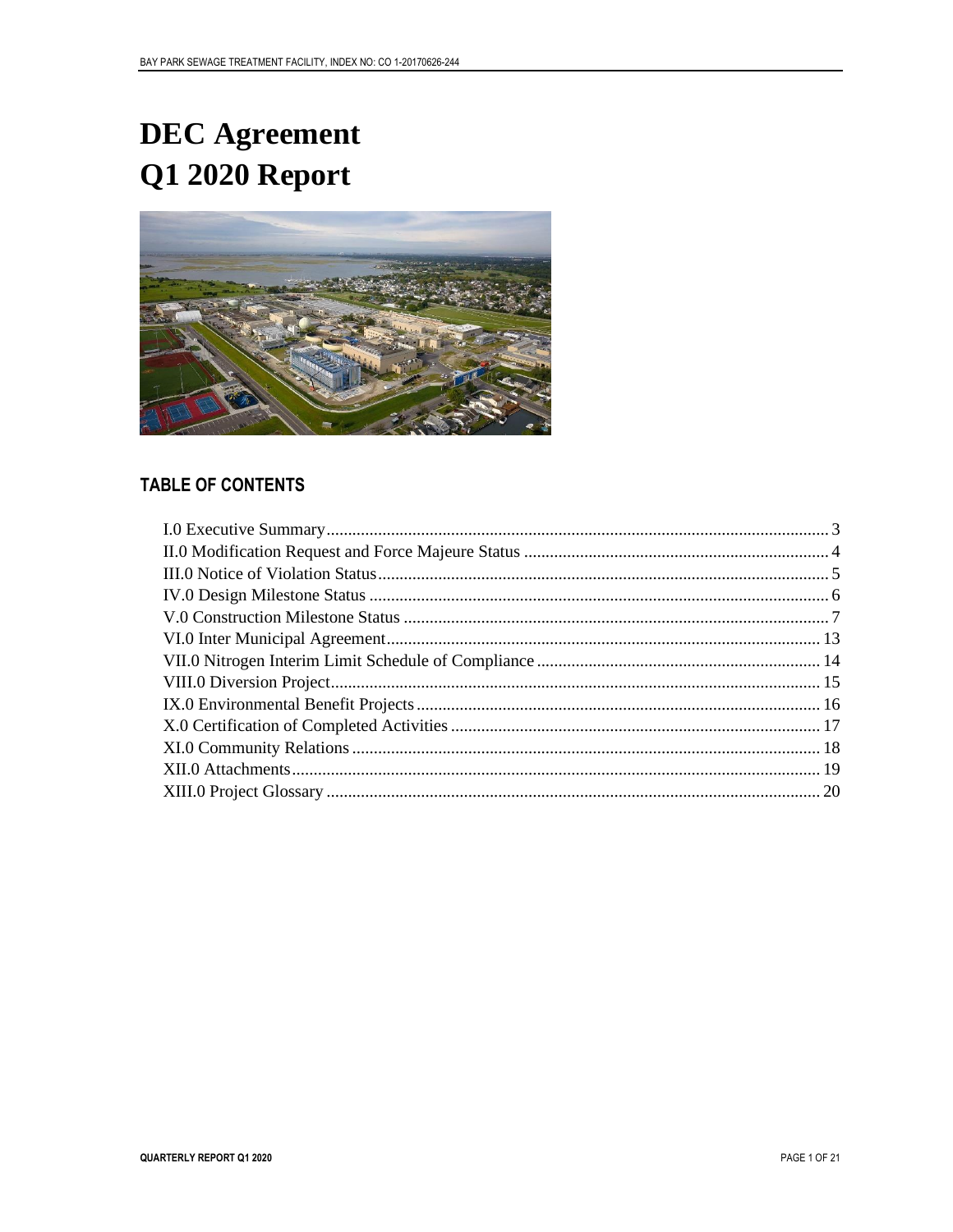# **DEC** Agreement Q1 2020 Report



### **TABLE OF CONTENTS**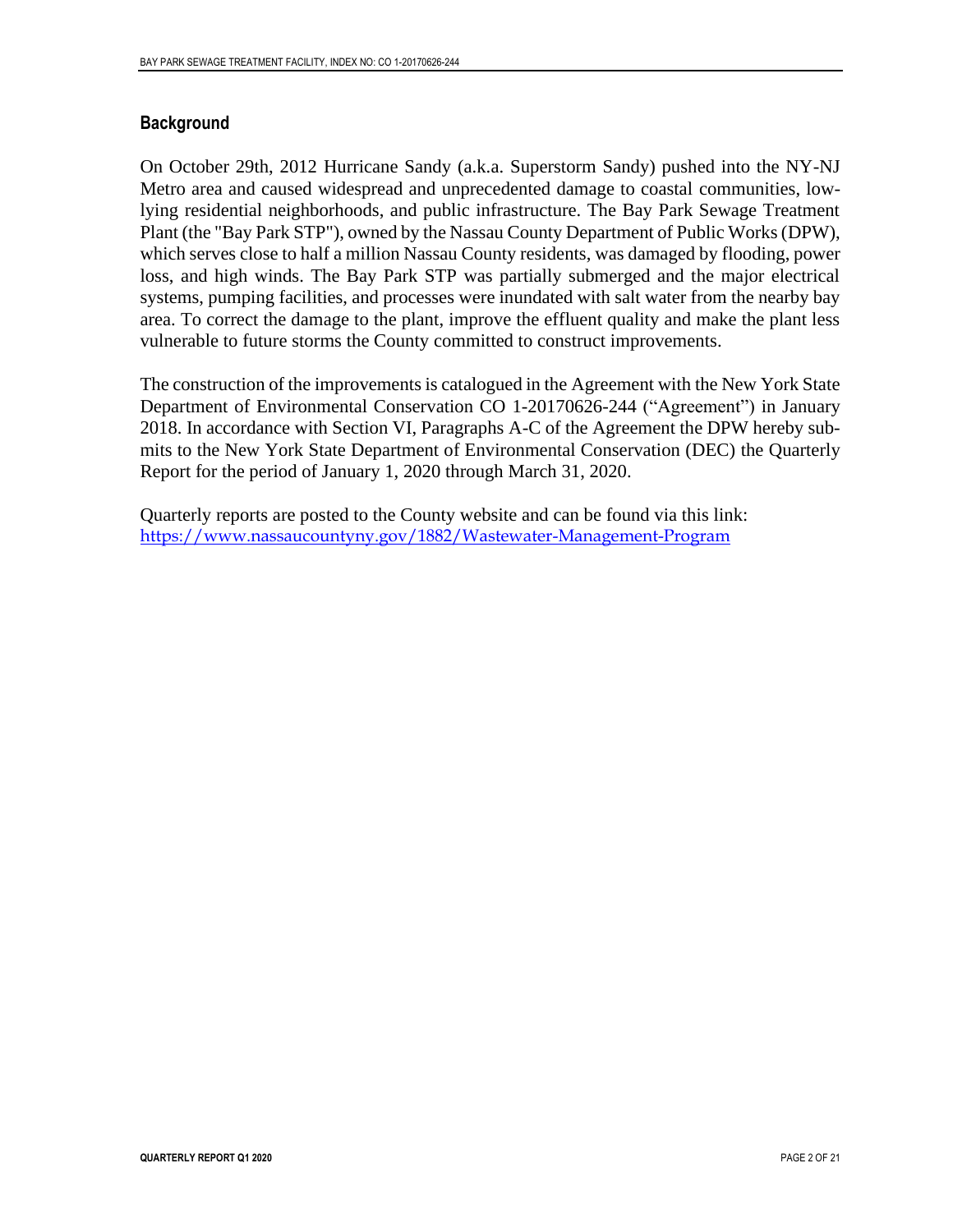#### **Background**

On October 29th, 2012 Hurricane Sandy (a.k.a. Superstorm Sandy) pushed into the NY-NJ Metro area and caused widespread and unprecedented damage to coastal communities, lowlying residential neighborhoods, and public infrastructure. The Bay Park Sewage Treatment Plant (the "Bay Park STP"), owned by the Nassau County Department of Public Works (DPW), which serves close to half a million Nassau County residents, was damaged by flooding, power loss, and high winds. The Bay Park STP was partially submerged and the major electrical systems, pumping facilities, and processes were inundated with salt water from the nearby bay area. To correct the damage to the plant, improve the effluent quality and make the plant less vulnerable to future storms the County committed to construct improvements.

The construction of the improvements is catalogued in the Agreement with the New York State Department of Environmental Conservation CO 1-20170626-244 ("Agreement") in January 2018. In accordance with Section VI, Paragraphs A-C of the Agreement the DPW hereby submits to the New York State Department of Environmental Conservation (DEC) the Quarterly Report for the period of January 1, 2020 through March 31, 2020.

Quarterly reports are posted to the County website and can be found via this link: [https://www.nassaucountyny.gov/1882/Wastewater-Management-Program](https://na01.safelinks.protection.outlook.com/?url=https%3A%2F%2Fwww.nassaucountyny.gov%2F1882%2FWastewater-Management-Program&data=02%7C01%7CEMills%40hazenandsawyer.com%7Ce78c729548bc4ab9c55b08d632c6e3a8%7C083fc4d272ad412bae7d6b81b83916dd%7C0%7C0%7C636752227167606356&sdata=cBi9d%2BSnMVNWNscS%2FGvAwQU7RO5A7VT9Icv8mfa0zUc%3D&reserved=0)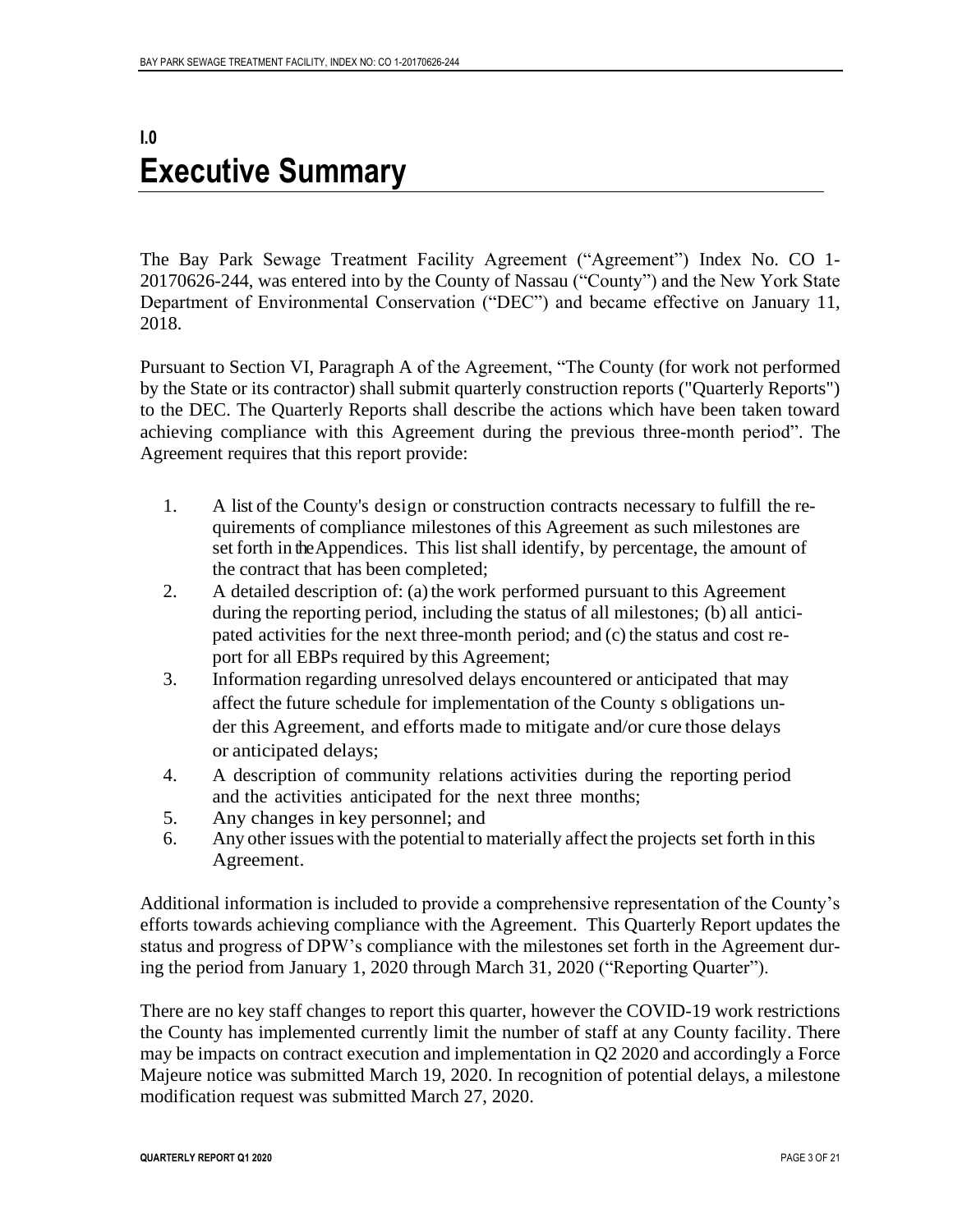### <span id="page-3-0"></span>**I.0 Executive Summary**

The Bay Park Sewage Treatment Facility Agreement ("Agreement") Index No. CO 1- 20170626-244, was entered into by the County of Nassau ("County") and the New York State Department of Environmental Conservation ("DEC") and became effective on January 11, 2018.

Pursuant to Section VI, Paragraph A of the Agreement, "The County (for work not performed by the State or its contractor) shall submit quarterly construction reports ("Quarterly Reports") to the DEC. The Quarterly Reports shall describe the actions which have been taken toward achieving compliance with this Agreement during the previous three-month period". The Agreement requires that this report provide:

- 1. A list of the County's design or construction contracts necessary to fulfill the requirements of compliance milestones of this Agreement as such milestones are set forth in the Appendices. This list shall identify, by percentage, the amount of the contract that has been completed;
- 2. A detailed description of: (a) the work performed pursuant to this Agreement during the reporting period, including the status of all milestones; (b) all anticipated activities for the next three-month period; and  $(c)$  the status and cost report for all EBPs required by this Agreement;
- 3. Information regarding unresolved delays encountered or anticipated that may affect the future schedule for implementation of the County s obligations under this Agreement, and efforts made to mitigate and/or cure those delays or anticipated delays;
- 4. A description of community relations activities during the reporting period and the activities anticipated for the next three months;
- 5. Any changes in key personnel; and
- 6. Any other issueswith the potential to materially affect the projects set forth in this Agreement.

Additional information is included to provide a comprehensive representation of the County's efforts towards achieving compliance with the Agreement. This Quarterly Report updates the status and progress of DPW's compliance with the milestones set forth in the Agreement during the period from January 1, 2020 through March 31, 2020 ("Reporting Quarter").

There are no key staff changes to report this quarter, however the COVID-19 work restrictions the County has implemented currently limit the number of staff at any County facility. There may be impacts on contract execution and implementation in Q2 2020 and accordingly a Force Majeure notice was submitted March 19, 2020. In recognition of potential delays, a milestone modification request was submitted March 27, 2020.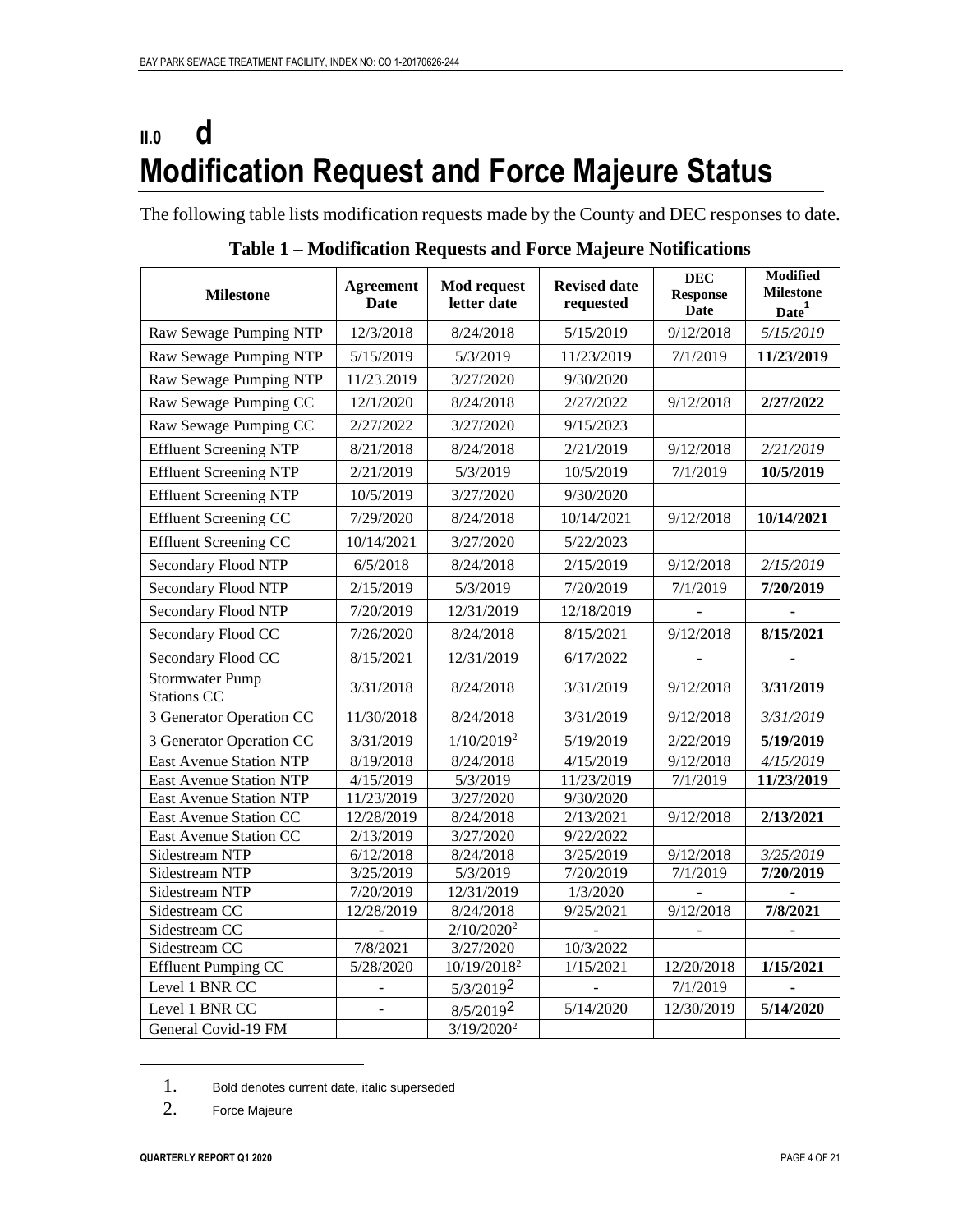# <span id="page-4-0"></span>**II.0 d Modification Request and Force Majeure Status**

The following table lists modification requests made by the County and DEC responses to date.

| <b>Milestone</b>                             | <b>Agreement</b><br><b>Date</b> | <b>Mod request</b><br>letter date | <b>Revised date</b><br>requested | <b>DEC</b><br><b>Response</b><br>Date | <b>Modified</b><br><b>Milestone</b><br>Date <sup>1</sup> |
|----------------------------------------------|---------------------------------|-----------------------------------|----------------------------------|---------------------------------------|----------------------------------------------------------|
| Raw Sewage Pumping NTP                       | 12/3/2018                       | 8/24/2018                         | 5/15/2019                        | 9/12/2018                             | 5/15/2019                                                |
| Raw Sewage Pumping NTP                       | 5/15/2019                       | 5/3/2019                          | 11/23/2019                       | 7/1/2019                              | 11/23/2019                                               |
| Raw Sewage Pumping NTP                       | 11/23.2019                      | 3/27/2020                         | 9/30/2020                        |                                       |                                                          |
| Raw Sewage Pumping CC                        | 12/1/2020                       | 8/24/2018                         | 2/27/2022                        | 9/12/2018                             | 2/27/2022                                                |
| Raw Sewage Pumping CC                        | 2/27/2022                       | 3/27/2020                         | 9/15/2023                        |                                       |                                                          |
| <b>Effluent Screening NTP</b>                | 8/21/2018                       | 8/24/2018                         | 2/21/2019                        | 9/12/2018                             | 2/21/2019                                                |
| <b>Effluent Screening NTP</b>                | 2/21/2019                       | 5/3/2019                          | 10/5/2019                        | 7/1/2019                              | 10/5/2019                                                |
| <b>Effluent Screening NTP</b>                | 10/5/2019                       | 3/27/2020                         | 9/30/2020                        |                                       |                                                          |
| <b>Effluent Screening CC</b>                 | 7/29/2020                       | 8/24/2018                         | 10/14/2021                       | 9/12/2018                             | 10/14/2021                                               |
| <b>Effluent Screening CC</b>                 | 10/14/2021                      | 3/27/2020                         | 5/22/2023                        |                                       |                                                          |
| <b>Secondary Flood NTP</b>                   | 6/5/2018                        | 8/24/2018                         | 2/15/2019                        | 9/12/2018                             | 2/15/2019                                                |
| <b>Secondary Flood NTP</b>                   | 2/15/2019                       | 5/3/2019                          | 7/20/2019                        | 7/1/2019                              | 7/20/2019                                                |
| Secondary Flood NTP                          | 7/20/2019                       | 12/31/2019                        | 12/18/2019                       |                                       |                                                          |
| Secondary Flood CC                           | 7/26/2020                       | 8/24/2018                         | 8/15/2021                        | 9/12/2018                             | 8/15/2021                                                |
| Secondary Flood CC                           | 8/15/2021                       | 12/31/2019                        | 6/17/2022                        |                                       |                                                          |
| <b>Stormwater Pump</b><br><b>Stations CC</b> | 3/31/2018                       | 8/24/2018                         | 3/31/2019                        | 9/12/2018                             | 3/31/2019                                                |
| 3 Generator Operation CC                     | 11/30/2018                      | 8/24/2018                         | 3/31/2019                        | 9/12/2018                             | 3/31/2019                                                |
| 3 Generator Operation CC                     | 3/31/2019                       | $1/10/2019^2$                     | 5/19/2019                        | 2/22/2019                             | 5/19/2019                                                |
| <b>East Avenue Station NTP</b>               | 8/19/2018                       | 8/24/2018                         | 4/15/2019                        | 9/12/2018                             | 4/15/2019                                                |
| <b>East Avenue Station NTP</b>               | 4/15/2019                       | 5/3/2019                          | 11/23/2019                       | 7/1/2019                              | 11/23/2019                                               |
| <b>East Avenue Station NTP</b>               | 11/23/2019                      | 3/27/2020                         | 9/30/2020                        |                                       |                                                          |
| East Avenue Station CC                       | 12/28/2019                      | 8/24/2018                         | 2/13/2021                        | 9/12/2018                             | 2/13/2021                                                |
| East Avenue Station CC                       | 2/13/2019                       | 3/27/2020                         | 9/22/2022                        |                                       |                                                          |
| Sidestream NTP                               | 6/12/2018                       | 8/24/2018                         | 3/25/2019                        | 9/12/2018                             | 3/25/2019                                                |
| Sidestream NTP                               | 3/25/2019                       | 5/3/2019                          | 7/20/2019                        | 7/1/2019                              | 7/20/2019                                                |
| Sidestream NTP                               | 7/20/2019                       | 12/31/2019                        | 1/3/2020                         |                                       |                                                          |
| Sidestream CC                                | 12/28/2019                      | 8/24/2018                         | 9/25/2021                        | 9/12/2018                             | 7/8/2021                                                 |
| Sidestream CC                                |                                 | 2/10/2020 <sup>2</sup>            |                                  |                                       | ۰                                                        |
| Sidestream CC                                | 7/8/2021                        | 3/27/2020                         | 10/3/2022                        |                                       |                                                          |
| <b>Effluent Pumping CC</b>                   | 5/28/2020                       | 10/19/2018 <sup>2</sup>           | 1/15/2021                        | 12/20/2018                            | 1/15/2021                                                |
| Level 1 BNR CC                               |                                 | 5/3/20192                         |                                  | 7/1/2019                              |                                                          |
| Level 1 BNR CC                               | $\overline{a}$                  | 8/5/20192                         | 5/14/2020                        | 12/30/2019                            | 5/14/2020                                                |
| General Covid-19 FM                          |                                 | 3/19/2020 <sup>2</sup>            |                                  |                                       |                                                          |

**Table 1 – Modification Requests and Force Majeure Notifications**

<sup>1.</sup> Bold denotes current date, italic superseded

<sup>2.</sup> Force Majeure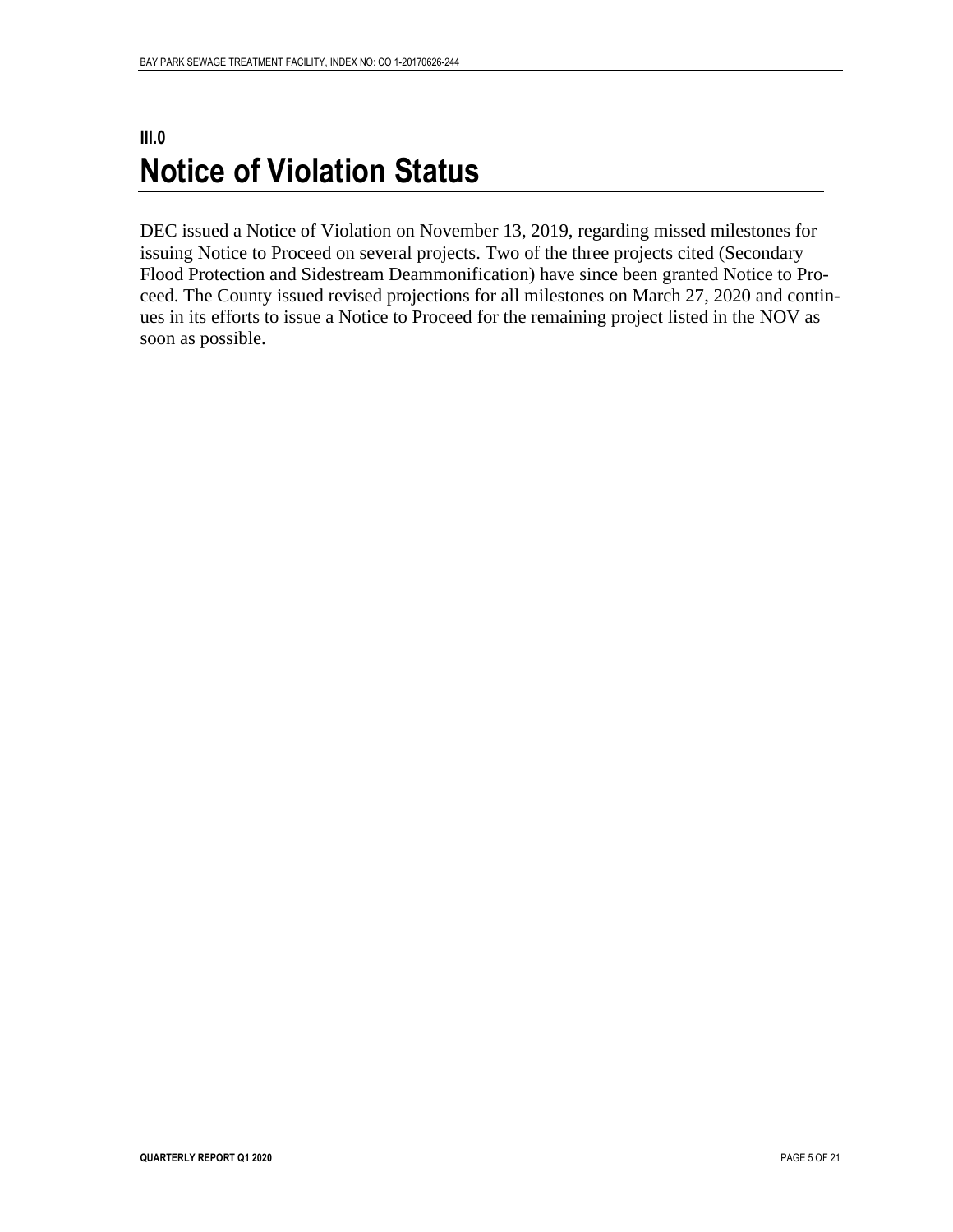### <span id="page-5-0"></span>**III.0 Notice of Violation Status**

DEC issued a Notice of Violation on November 13, 2019, regarding missed milestones for issuing Notice to Proceed on several projects. Two of the three projects cited (Secondary Flood Protection and Sidestream Deammonification) have since been granted Notice to Proceed. The County issued revised projections for all milestones on March 27, 2020 and continues in its efforts to issue a Notice to Proceed for the remaining project listed in the NOV as soon as possible.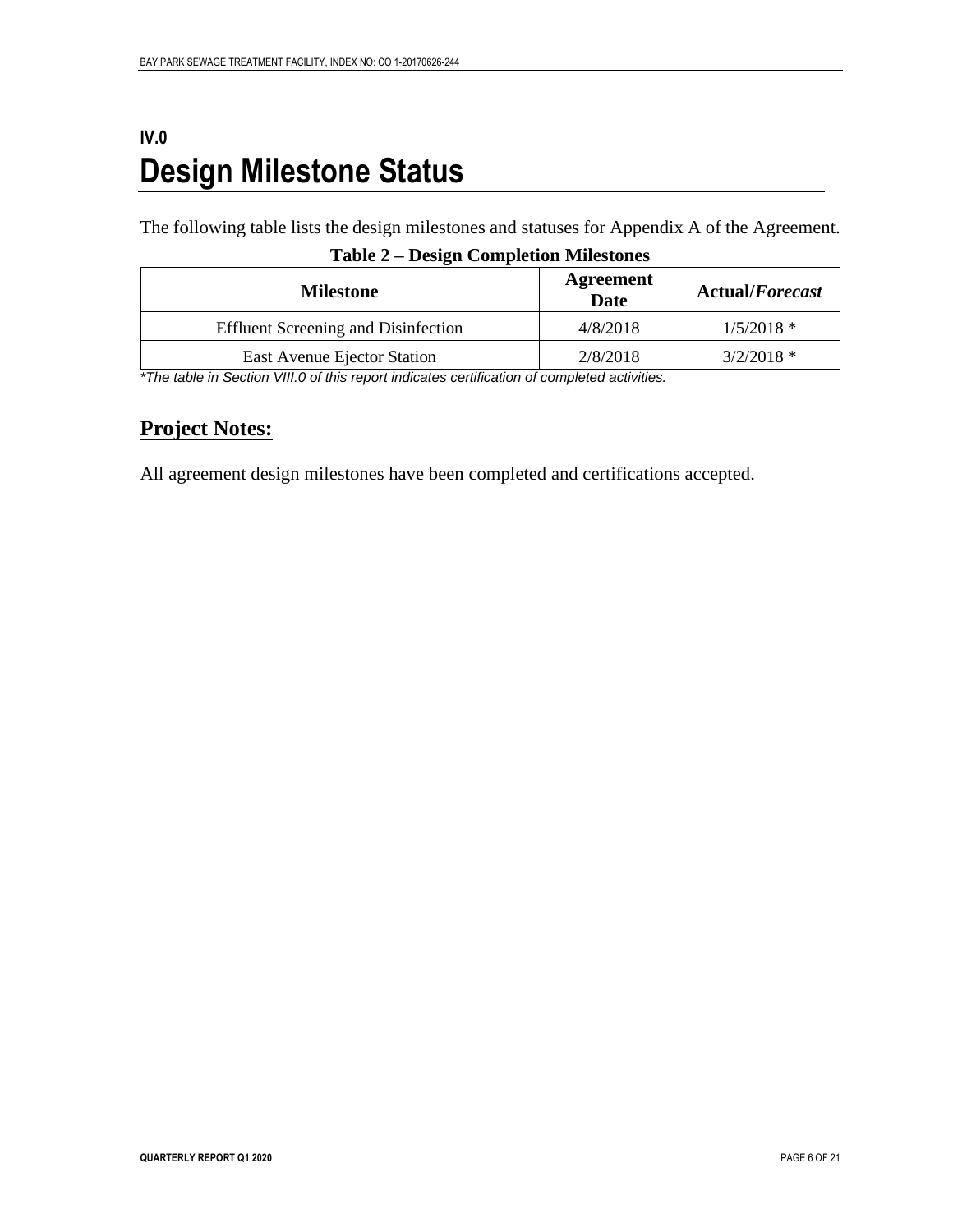## <span id="page-6-0"></span>**IV.0 Design Milestone Status**

The following table lists the design milestones and statuses for Appendix A of the Agreement.

| <b>Milestone</b>                           | Agreement<br><b>Date</b> | <b>Actual/Forecast</b> |
|--------------------------------------------|--------------------------|------------------------|
| <b>Effluent Screening and Disinfection</b> | 4/8/2018                 | $1/5/2018$ *           |
| East Avenue Ejector Station                | 2/8/2018                 | $3/2/2018$ *           |

#### **Table 2 – Design Completion Milestones**

*\*The table in Section VIII.0 of this report indicates certification of completed activities.*

### **Project Notes:**

All agreement design milestones have been completed and certifications accepted.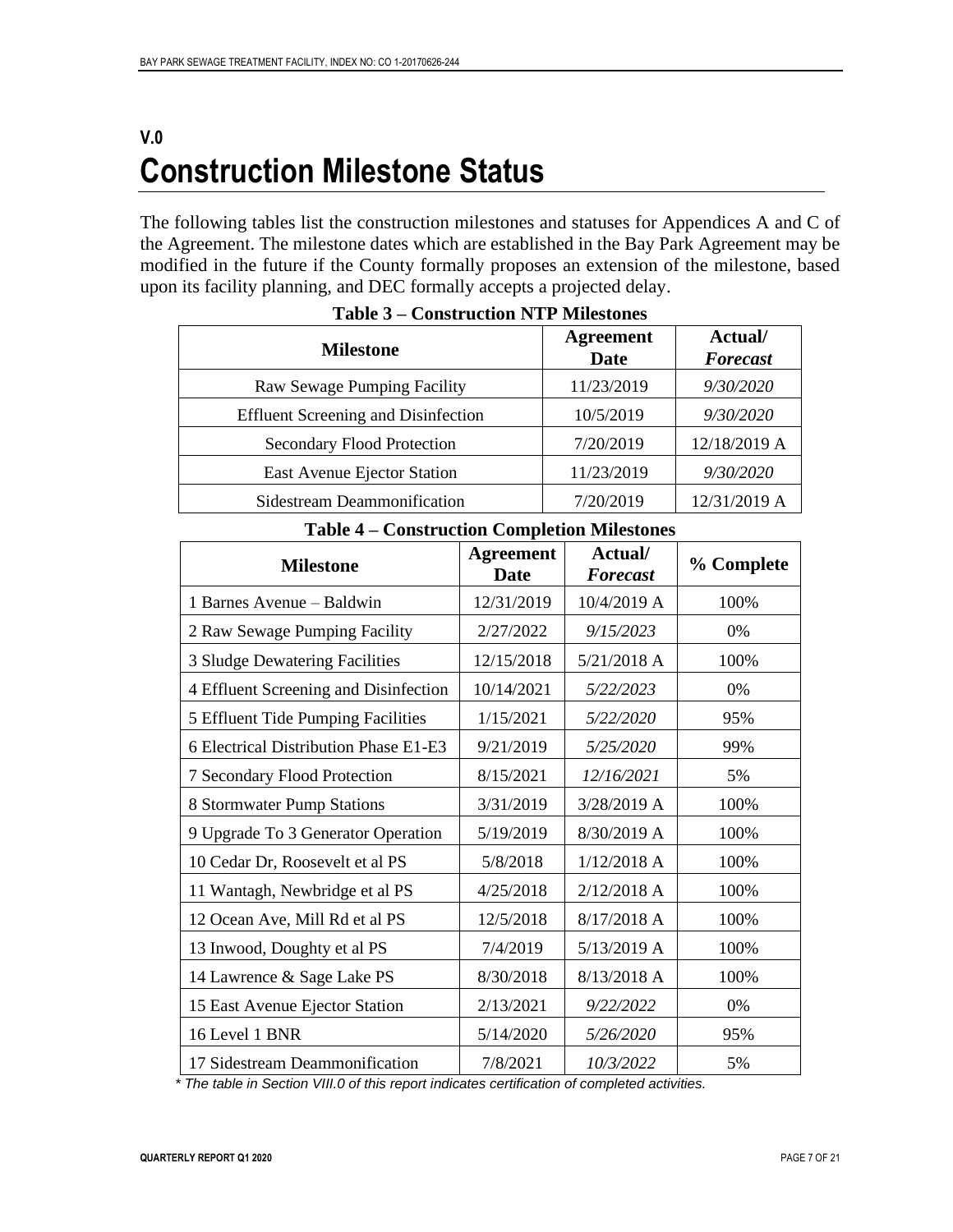### <span id="page-7-0"></span>**V.0 Construction Milestone Status**

The following tables list the construction milestones and statuses for Appendices A and C of the Agreement. The milestone dates which are established in the Bay Park Agreement may be modified in the future if the County formally proposes an extension of the milestone, based upon its facility planning, and DEC formally accepts a projected delay.

| <b>Milestone</b>                           | <b>Agreement</b><br>Date | Actual/<br><b>Forecast</b> |
|--------------------------------------------|--------------------------|----------------------------|
| Raw Sewage Pumping Facility                | 11/23/2019               | 9/30/2020                  |
| <b>Effluent Screening and Disinfection</b> | 10/5/2019                | 9/30/2020                  |
| <b>Secondary Flood Protection</b>          | 7/20/2019                | 12/18/2019 A               |
| East Avenue Ejector Station                | 11/23/2019               | 9/30/2020                  |
| Sidestream Deammonification                | 7/20/2019                | 12/31/2019 A               |

**Table 3 – Construction NTP Milestones**

| Construction Completion Minestones    |                                 |                     |            |  |
|---------------------------------------|---------------------------------|---------------------|------------|--|
| <b>Milestone</b>                      | <b>Agreement</b><br><b>Date</b> | Actual/<br>Forecast | % Complete |  |
| 1 Barnes Avenue - Baldwin             | 12/31/2019                      | 10/4/2019 A         | 100%       |  |
| 2 Raw Sewage Pumping Facility         | 2/27/2022                       | 9/15/2023           | 0%         |  |
| 3 Sludge Dewatering Facilities        | 12/15/2018                      | 5/21/2018 A         | 100%       |  |
| 4 Effluent Screening and Disinfection | 10/14/2021                      | 5/22/2023           | 0%         |  |
| 5 Effluent Tide Pumping Facilities    | 1/15/2021                       | 5/22/2020           | 95%        |  |
| 6 Electrical Distribution Phase E1-E3 | 9/21/2019                       | 5/25/2020           | 99%        |  |
| 7 Secondary Flood Protection          | 8/15/2021                       | 12/16/2021          | 5%         |  |
| 8 Stormwater Pump Stations            | 3/31/2019                       | 3/28/2019 A         | 100%       |  |
| 9 Upgrade To 3 Generator Operation    | 5/19/2019                       | 8/30/2019 A         | 100%       |  |
| 10 Cedar Dr, Roosevelt et al PS       | 5/8/2018                        | $1/12/2018$ A       | 100%       |  |
| 11 Wantagh, Newbridge et al PS        | 4/25/2018                       | 2/12/2018 A         | 100%       |  |
| 12 Ocean Ave, Mill Rd et al PS        | 12/5/2018                       | 8/17/2018 A         | 100%       |  |
| 13 Inwood, Doughty et al PS           | 7/4/2019                        | 5/13/2019 A         | 100%       |  |
| 14 Lawrence & Sage Lake PS            | 8/30/2018                       | 8/13/2018 A         | 100%       |  |
| 15 East Avenue Ejector Station        | 2/13/2021                       | 9/22/2022           | 0%         |  |
| 16 Level 1 BNR                        | 5/14/2020                       | 5/26/2020           | 95%        |  |
| 17 Sidestream Deammonification        | 7/8/2021                        | 10/3/2022           | 5%         |  |

**Table 4 – Construction Completion Milestones**

*\* The table in Section VIII.0 of this report indicates certification of completed activities.*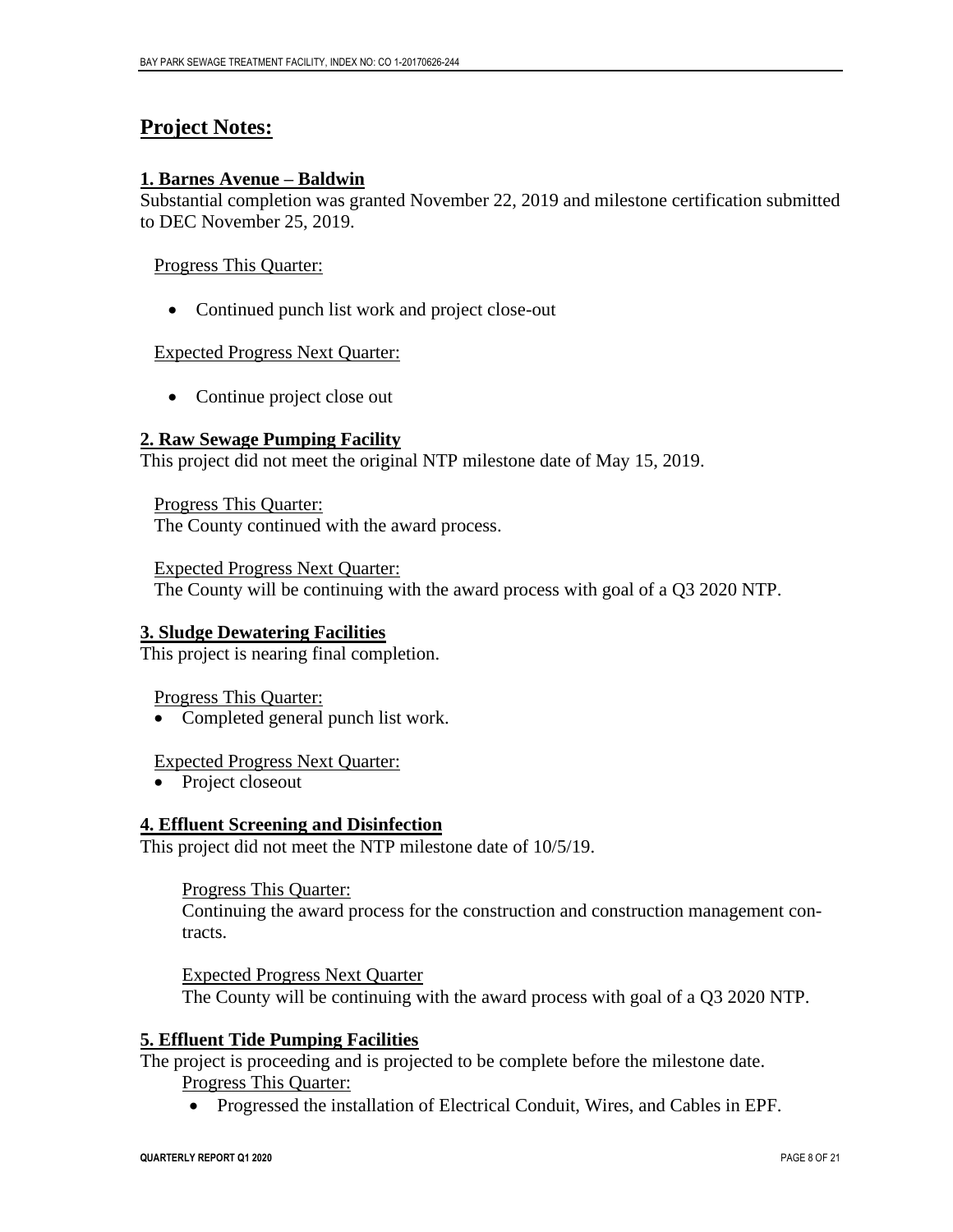### **Project Notes:**

#### **1. Barnes Avenue – Baldwin**

Substantial completion was granted November 22, 2019 and milestone certification submitted to DEC November 25, 2019.

#### Progress This Quarter:

• Continued punch list work and project close-out

#### Expected Progress Next Quarter:

• Continue project close out

#### **2. Raw Sewage Pumping Facility**

This project did not meet the original NTP milestone date of May 15, 2019.

Progress This Quarter: The County continued with the award process.

Expected Progress Next Quarter: The County will be continuing with the award process with goal of a Q3 2020 NTP.

#### **3. Sludge Dewatering Facilities**

This project is nearing final completion.

Progress This Quarter:

• Completed general punch list work.

#### Expected Progress Next Quarter:

• Project closeout

#### **4. Effluent Screening and Disinfection**

This project did not meet the NTP milestone date of 10/5/19.

Progress This Quarter:

Continuing the award process for the construction and construction management contracts.

Expected Progress Next Quarter The County will be continuing with the award process with goal of a Q3 2020 NTP.

#### **5. Effluent Tide Pumping Facilities**

The project is proceeding and is projected to be complete before the milestone date. Progress This Quarter:

• Progressed the installation of Electrical Conduit, Wires, and Cables in EPF.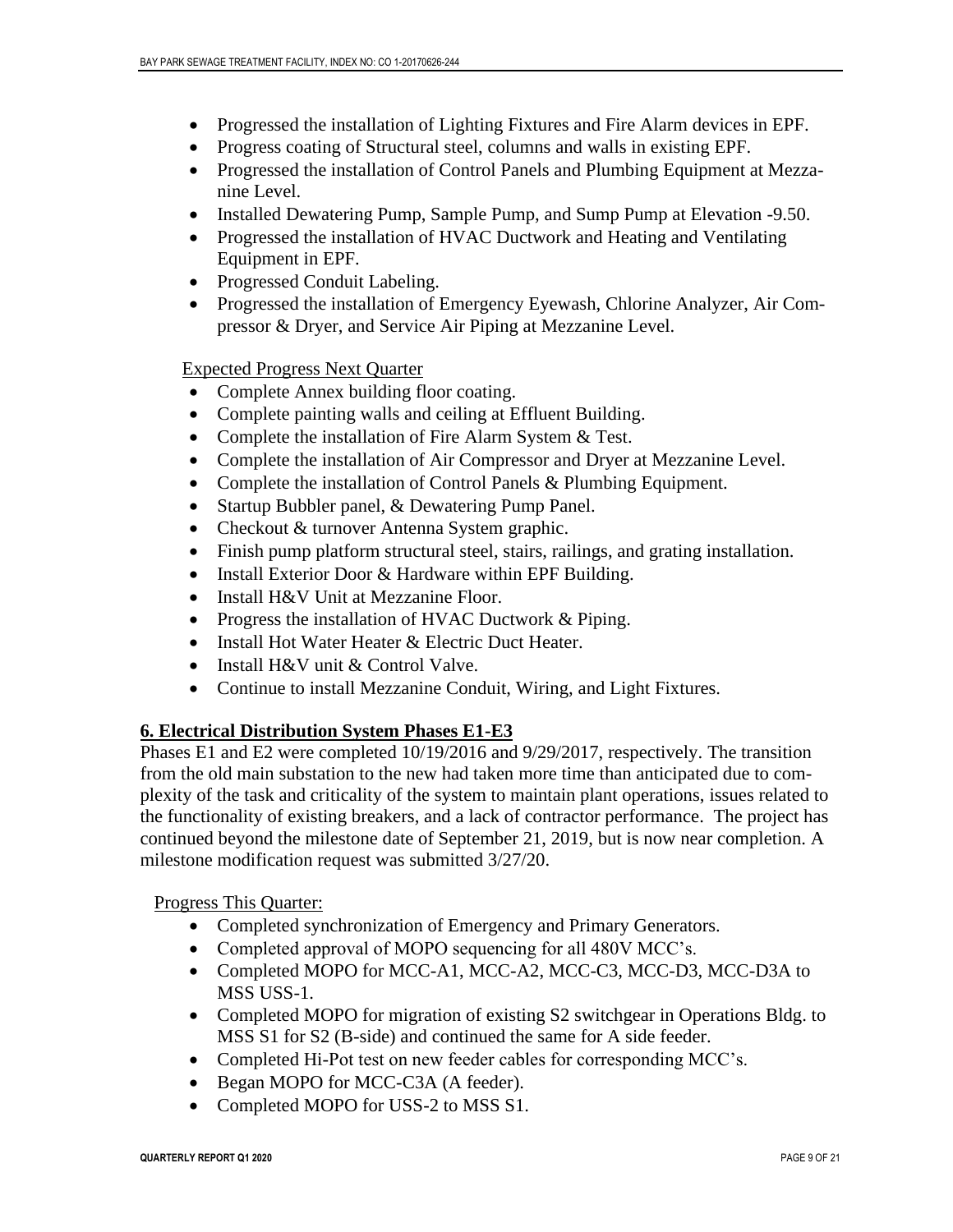- Progressed the installation of Lighting Fixtures and Fire Alarm devices in EPF.
- Progress coating of Structural steel, columns and walls in existing EPF.
- Progressed the installation of Control Panels and Plumbing Equipment at Mezzanine Level.
- Installed Dewatering Pump, Sample Pump, and Sump Pump at Elevation -9.50.
- Progressed the installation of HVAC Ductwork and Heating and Ventilating Equipment in EPF.
- Progressed Conduit Labeling.
- Progressed the installation of Emergency Eyewash, Chlorine Analyzer, Air Compressor & Dryer, and Service Air Piping at Mezzanine Level.

Expected Progress Next Quarter

- Complete Annex building floor coating.
- Complete painting walls and ceiling at Effluent Building.
- Complete the installation of Fire Alarm System & Test.
- Complete the installation of Air Compressor and Dryer at Mezzanine Level.
- Complete the installation of Control Panels & Plumbing Equipment.
- Startup Bubbler panel, & Dewatering Pump Panel.
- Checkout & turnover Antenna System graphic.
- Finish pump platform structural steel, stairs, railings, and grating installation.
- Install Exterior Door & Hardware within EPF Building.
- Install H&V Unit at Mezzanine Floor.
- Progress the installation of HVAC Ductwork & Piping.
- Install Hot Water Heater & Electric Duct Heater.
- Install H&V unit & Control Valve.
- Continue to install Mezzanine Conduit, Wiring, and Light Fixtures.

#### **6. Electrical Distribution System Phases E1-E3**

Phases E1 and E2 were completed 10/19/2016 and 9/29/2017, respectively. The transition from the old main substation to the new had taken more time than anticipated due to complexity of the task and criticality of the system to maintain plant operations, issues related to the functionality of existing breakers, and a lack of contractor performance. The project has continued beyond the milestone date of September 21, 2019, but is now near completion. A milestone modification request was submitted 3/27/20.

Progress This Quarter:

- Completed synchronization of Emergency and Primary Generators.
- Completed approval of MOPO sequencing for all 480V MCC's.
- Completed MOPO for MCC-A1, MCC-A2, MCC-C3, MCC-D3, MCC-D3A to MSS USS-1.
- Completed MOPO for migration of existing S2 switchgear in Operations Bldg. to MSS S1 for S2 (B-side) and continued the same for A side feeder.
- Completed Hi-Pot test on new feeder cables for corresponding MCC's.
- Began MOPO for MCC-C3A (A feeder).
- Completed MOPO for USS-2 to MSS S1.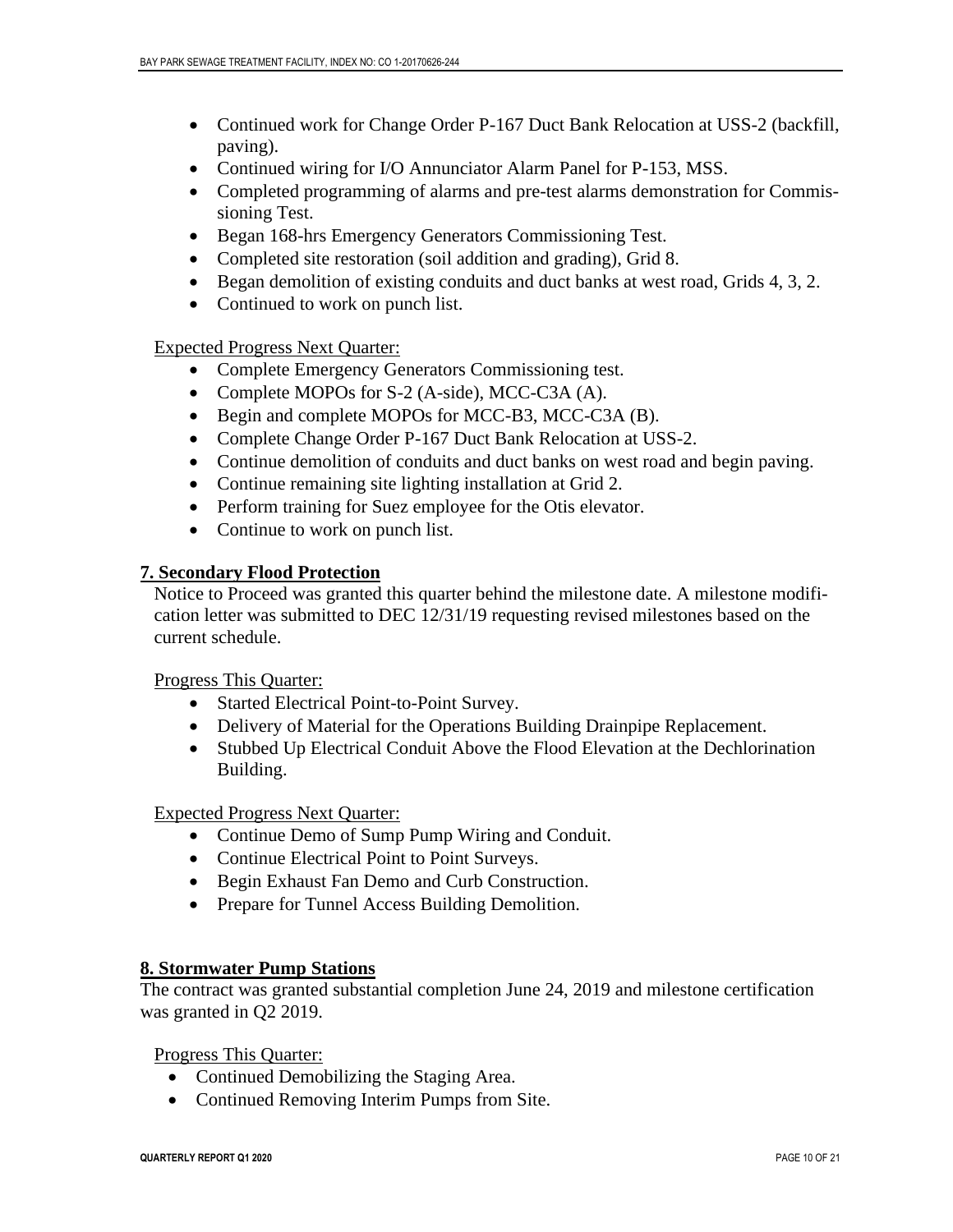- Continued work for Change Order P-167 Duct Bank Relocation at USS-2 (backfill, paving).
- Continued wiring for I/O Annunciator Alarm Panel for P-153, MSS.
- Completed programming of alarms and pre-test alarms demonstration for Commissioning Test.
- Began 168-hrs Emergency Generators Commissioning Test.
- Completed site restoration (soil addition and grading), Grid 8.
- Began demolition of existing conduits and duct banks at west road, Grids 4, 3, 2.
- Continued to work on punch list.

Expected Progress Next Quarter:

- Complete Emergency Generators Commissioning test.
- Complete MOPOs for S-2 (A-side), MCC-C3A (A).
- Begin and complete MOPOs for MCC-B3, MCC-C3A (B).
- Complete Change Order P-167 Duct Bank Relocation at USS-2.
- Continue demolition of conduits and duct banks on west road and begin paving.
- Continue remaining site lighting installation at Grid 2.
- Perform training for Suez employee for the Otis elevator.
- Continue to work on punch list.

#### **7. Secondary Flood Protection**

Notice to Proceed was granted this quarter behind the milestone date. A milestone modification letter was submitted to DEC 12/31/19 requesting revised milestones based on the current schedule.

Progress This Quarter:

- Started Electrical Point-to-Point Survey.
- Delivery of Material for the Operations Building Drainpipe Replacement.
- Stubbed Up Electrical Conduit Above the Flood Elevation at the Dechlorination Building.

#### Expected Progress Next Quarter:

- Continue Demo of Sump Pump Wiring and Conduit.
- Continue Electrical Point to Point Surveys.
- Begin Exhaust Fan Demo and Curb Construction.
- Prepare for Tunnel Access Building Demolition.

#### **8. Stormwater Pump Stations**

The contract was granted substantial completion June 24, 2019 and milestone certification was granted in Q2 2019.

Progress This Quarter:

- Continued Demobilizing the Staging Area.
- Continued Removing Interim Pumps from Site.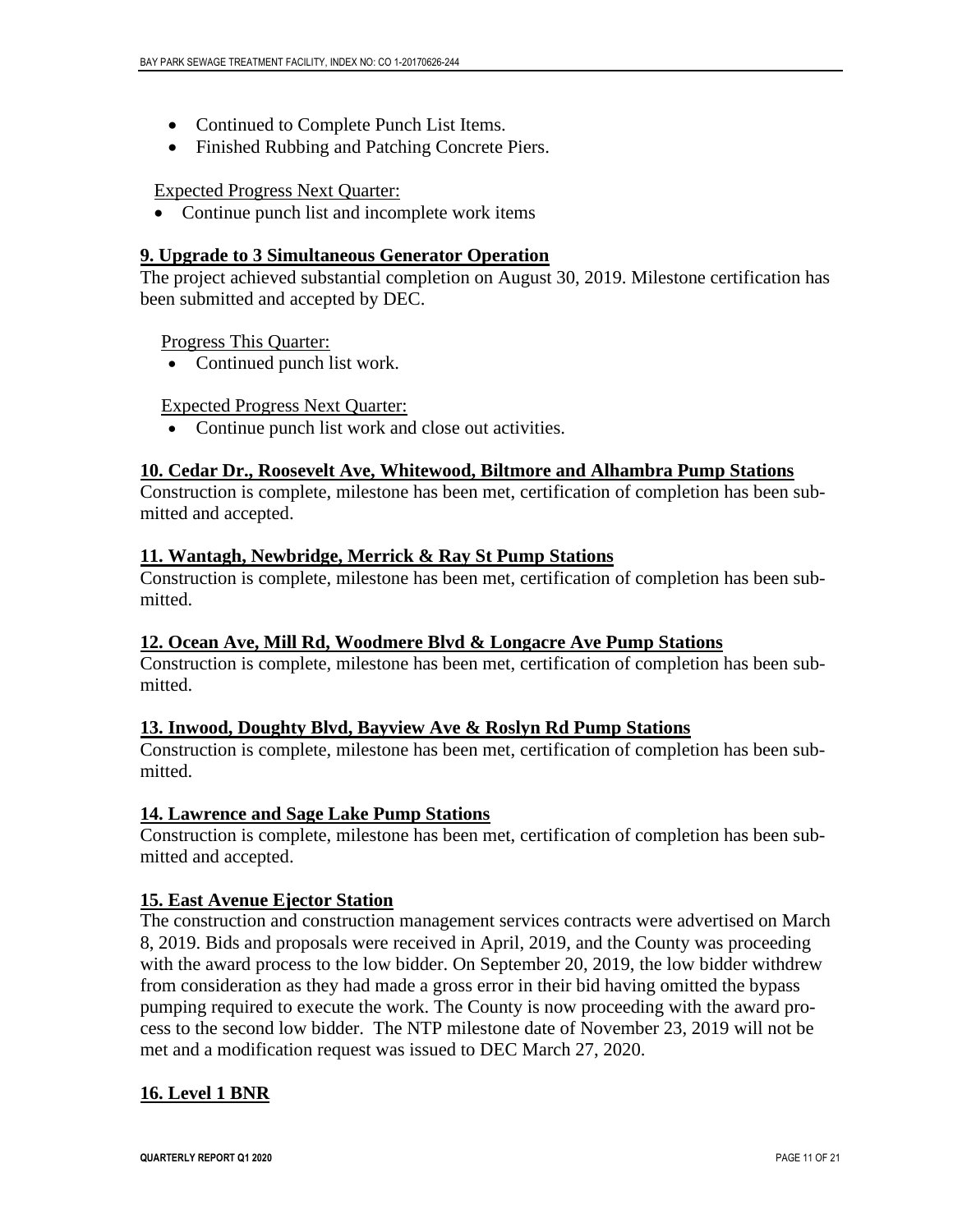- Continued to Complete Punch List Items.
- Finished Rubbing and Patching Concrete Piers.

#### Expected Progress Next Quarter:

• Continue punch list and incomplete work items

#### **9. Upgrade to 3 Simultaneous Generator Operation**

The project achieved substantial completion on August 30, 2019. Milestone certification has been submitted and accepted by DEC.

Progress This Quarter:

• Continued punch list work.

#### Expected Progress Next Quarter:

Continue punch list work and close out activities.

#### **10. Cedar Dr., Roosevelt Ave, Whitewood, Biltmore and Alhambra Pump Stations**

Construction is complete, milestone has been met, certification of completion has been submitted and accepted.

#### **11. Wantagh, Newbridge, Merrick & Ray St Pump Stations**

Construction is complete, milestone has been met, certification of completion has been submitted.

#### **12. Ocean Ave, Mill Rd, Woodmere Blvd & Longacre Ave Pump Stations**

Construction is complete, milestone has been met, certification of completion has been submitted.

#### **13. Inwood, Doughty Blvd, Bayview Ave & Roslyn Rd Pump Stations**

Construction is complete, milestone has been met, certification of completion has been submitted.

#### **14. Lawrence and Sage Lake Pump Stations**

Construction is complete, milestone has been met, certification of completion has been submitted and accepted.

#### **15. East Avenue Ejector Station**

The construction and construction management services contracts were advertised on March 8, 2019. Bids and proposals were received in April, 2019, and the County was proceeding with the award process to the low bidder. On September 20, 2019, the low bidder withdrew from consideration as they had made a gross error in their bid having omitted the bypass pumping required to execute the work. The County is now proceeding with the award process to the second low bidder. The NTP milestone date of November 23, 2019 will not be met and a modification request was issued to DEC March 27, 2020.

#### **16. Level 1 BNR**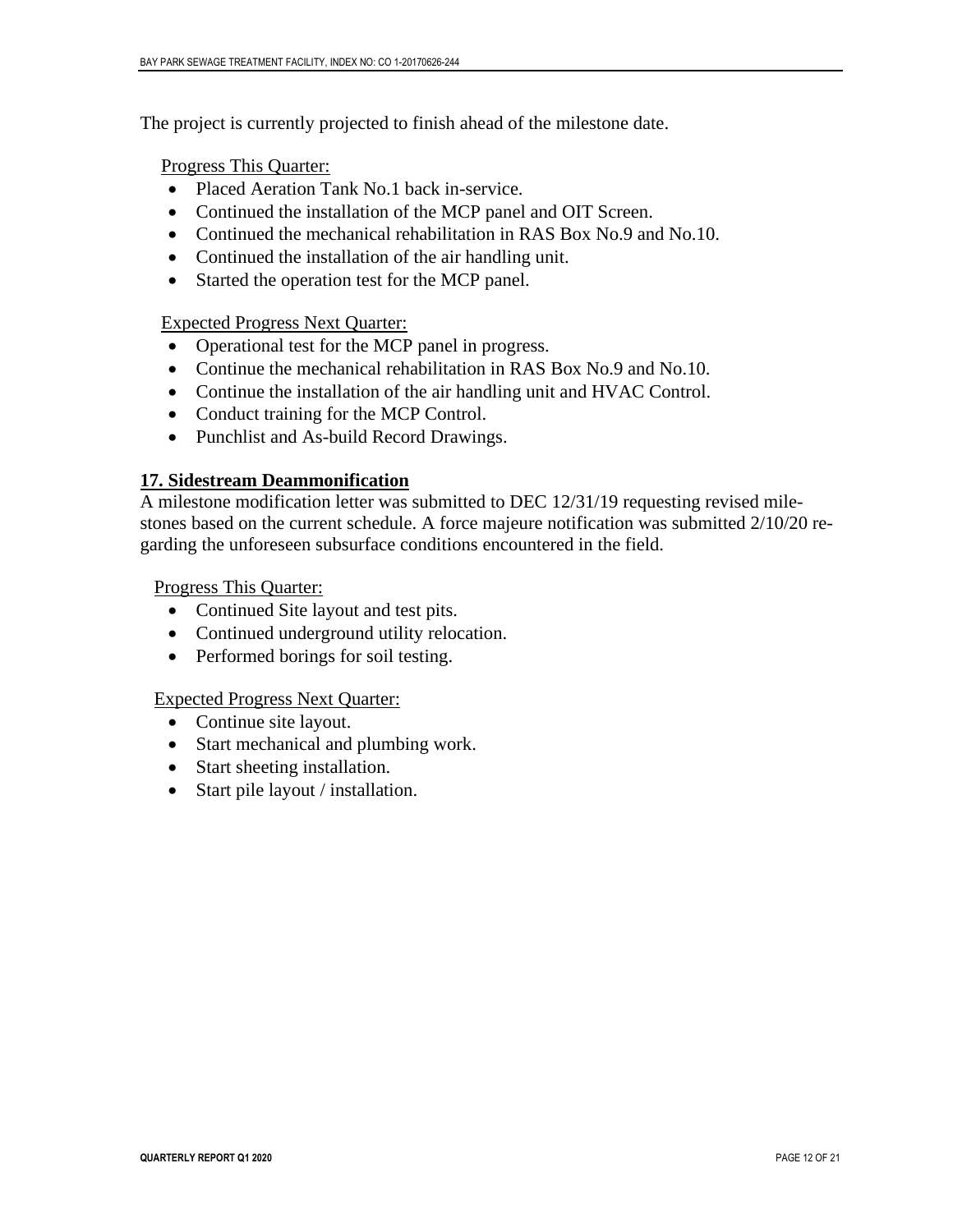The project is currently projected to finish ahead of the milestone date.

Progress This Quarter:

- Placed Aeration Tank No.1 back in-service.
- Continued the installation of the MCP panel and OIT Screen.
- Continued the mechanical rehabilitation in RAS Box No.9 and No.10.
- Continued the installation of the air handling unit.
- Started the operation test for the MCP panel.

#### Expected Progress Next Quarter:

- Operational test for the MCP panel in progress.
- Continue the mechanical rehabilitation in RAS Box No.9 and No.10.
- Continue the installation of the air handling unit and HVAC Control.
- Conduct training for the MCP Control.
- Punchlist and As-build Record Drawings.

#### **17. Sidestream Deammonification**

A milestone modification letter was submitted to DEC 12/31/19 requesting revised milestones based on the current schedule. A force majeure notification was submitted 2/10/20 regarding the unforeseen subsurface conditions encountered in the field.

Progress This Quarter:

- Continued Site layout and test pits.
- Continued underground utility relocation.
- Performed borings for soil testing.

#### Expected Progress Next Quarter:

- Continue site layout.
- Start mechanical and plumbing work.
- Start sheeting installation.
- Start pile layout / installation.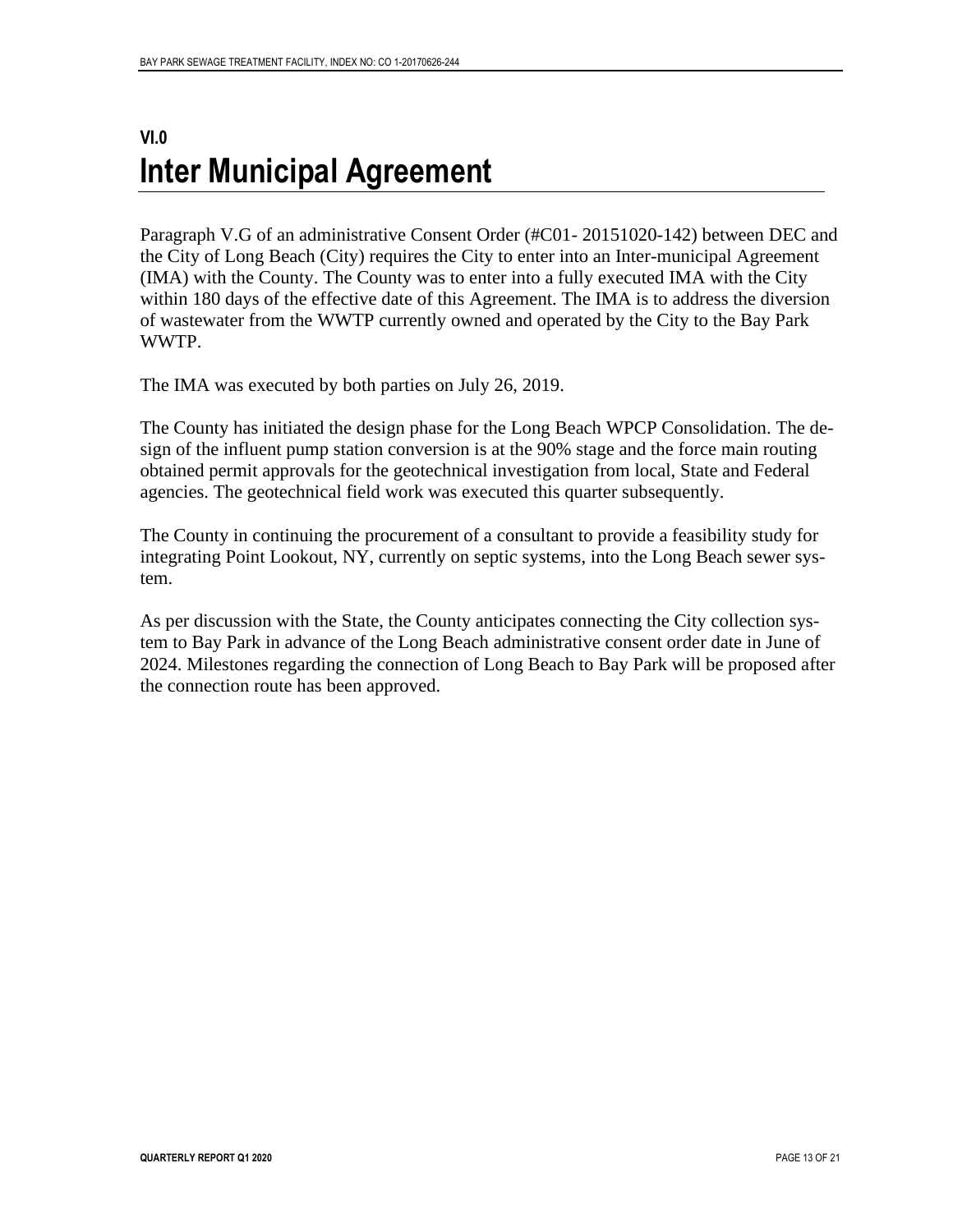### <span id="page-13-0"></span>**VI.0 Inter Municipal Agreement**

Paragraph V.G of an administrative Consent Order (#C01- 20151020-142) between DEC and the City of Long Beach (City) requires the City to enter into an Inter-municipal Agreement (IMA) with the County. The County was to enter into a fully executed IMA with the City within 180 days of the effective date of this Agreement. The IMA is to address the diversion of wastewater from the WWTP currently owned and operated by the City to the Bay Park WWTP.

The IMA was executed by both parties on July 26, 2019.

The County has initiated the design phase for the Long Beach WPCP Consolidation. The design of the influent pump station conversion is at the 90% stage and the force main routing obtained permit approvals for the geotechnical investigation from local, State and Federal agencies. The geotechnical field work was executed this quarter subsequently.

The County in continuing the procurement of a consultant to provide a feasibility study for integrating Point Lookout, NY, currently on septic systems, into the Long Beach sewer system.

As per discussion with the State, the County anticipates connecting the City collection system to Bay Park in advance of the Long Beach administrative consent order date in June of 2024. Milestones regarding the connection of Long Beach to Bay Park will be proposed after the connection route has been approved.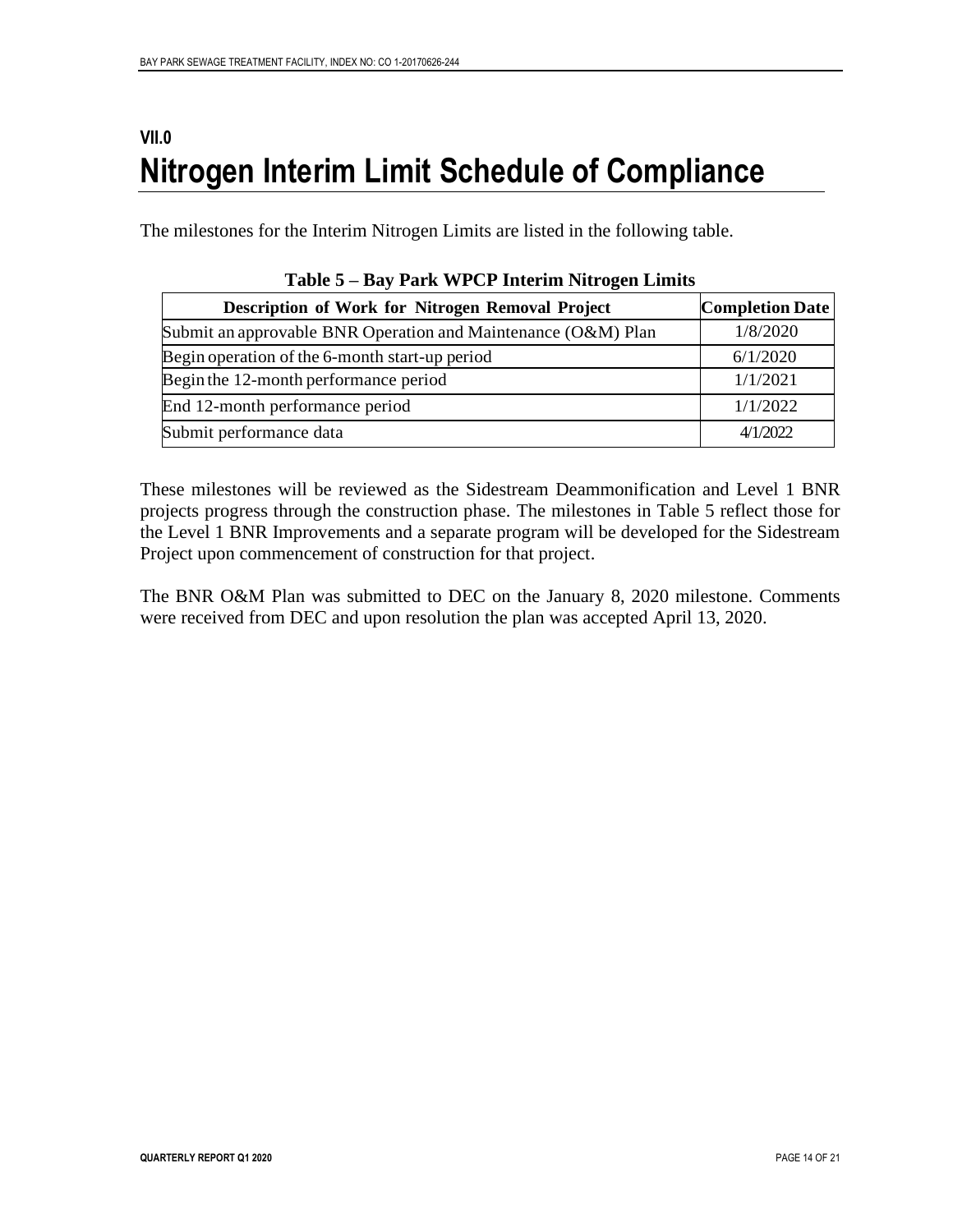### <span id="page-14-0"></span>**VII.0 Nitrogen Interim Limit Schedule of Compliance**

The milestones for the Interim Nitrogen Limits are listed in the following table.

| Description of Work for Nitrogen Removal Project              | <b>Completion Date</b> |
|---------------------------------------------------------------|------------------------|
| Submit an approvable BNR Operation and Maintenance (O&M) Plan | 1/8/2020               |
| Begin operation of the 6-month start-up period                | 6/1/2020               |
| Begin the 12-month performance period                         | 1/1/2021               |
| End 12-month performance period                               | 1/1/2022               |
| Submit performance data                                       | 4/1/2022               |

|  |  |  | Table 5 – Bay Park WPCP Interim Nitrogen Limits |  |
|--|--|--|-------------------------------------------------|--|
|  |  |  |                                                 |  |

These milestones will be reviewed as the Sidestream Deammonification and Level 1 BNR projects progress through the construction phase. The milestones in Table 5 reflect those for the Level 1 BNR Improvements and a separate program will be developed for the Sidestream Project upon commencement of construction for that project.

The BNR O&M Plan was submitted to DEC on the January 8, 2020 milestone. Comments were received from DEC and upon resolution the plan was accepted April 13, 2020.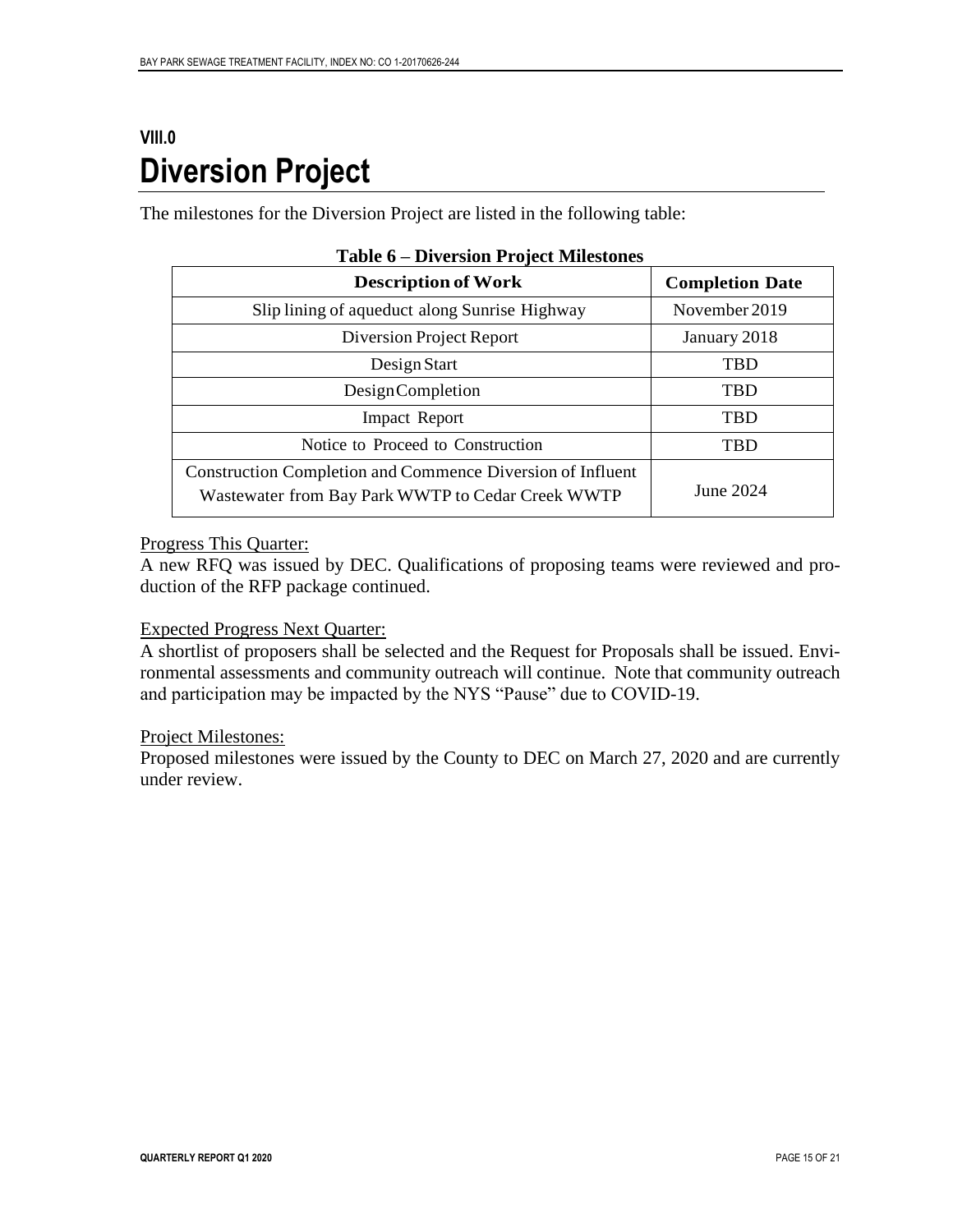### <span id="page-15-0"></span>**VIII.0 Diversion Project**

The milestones for the Diversion Project are listed in the following table:

| <b>Description of Work</b>                                                                                             | <b>Completion Date</b> |
|------------------------------------------------------------------------------------------------------------------------|------------------------|
| Slip lining of aqueduct along Sunrise Highway                                                                          | November 2019          |
| Diversion Project Report                                                                                               | January 2018           |
| Design Start                                                                                                           | <b>TBD</b>             |
| <b>DesignCompletion</b>                                                                                                | <b>TBD</b>             |
| <b>Impact Report</b>                                                                                                   | <b>TBD</b>             |
| Notice to Proceed to Construction                                                                                      | <b>TBD</b>             |
| <b>Construction Completion and Commence Diversion of Influent</b><br>Wastewater from Bay Park WWTP to Cedar Creek WWTP | June 2024              |

#### **Table 6 – Diversion Project Milestones**

#### Progress This Quarter:

A new RFQ was issued by DEC. Qualifications of proposing teams were reviewed and production of the RFP package continued.

#### Expected Progress Next Quarter:

A shortlist of proposers shall be selected and the Request for Proposals shall be issued. Environmental assessments and community outreach will continue. Note that community outreach and participation may be impacted by the NYS "Pause" due to COVID-19.

#### Project Milestones:

Proposed milestones were issued by the County to DEC on March 27, 2020 and are currently under review.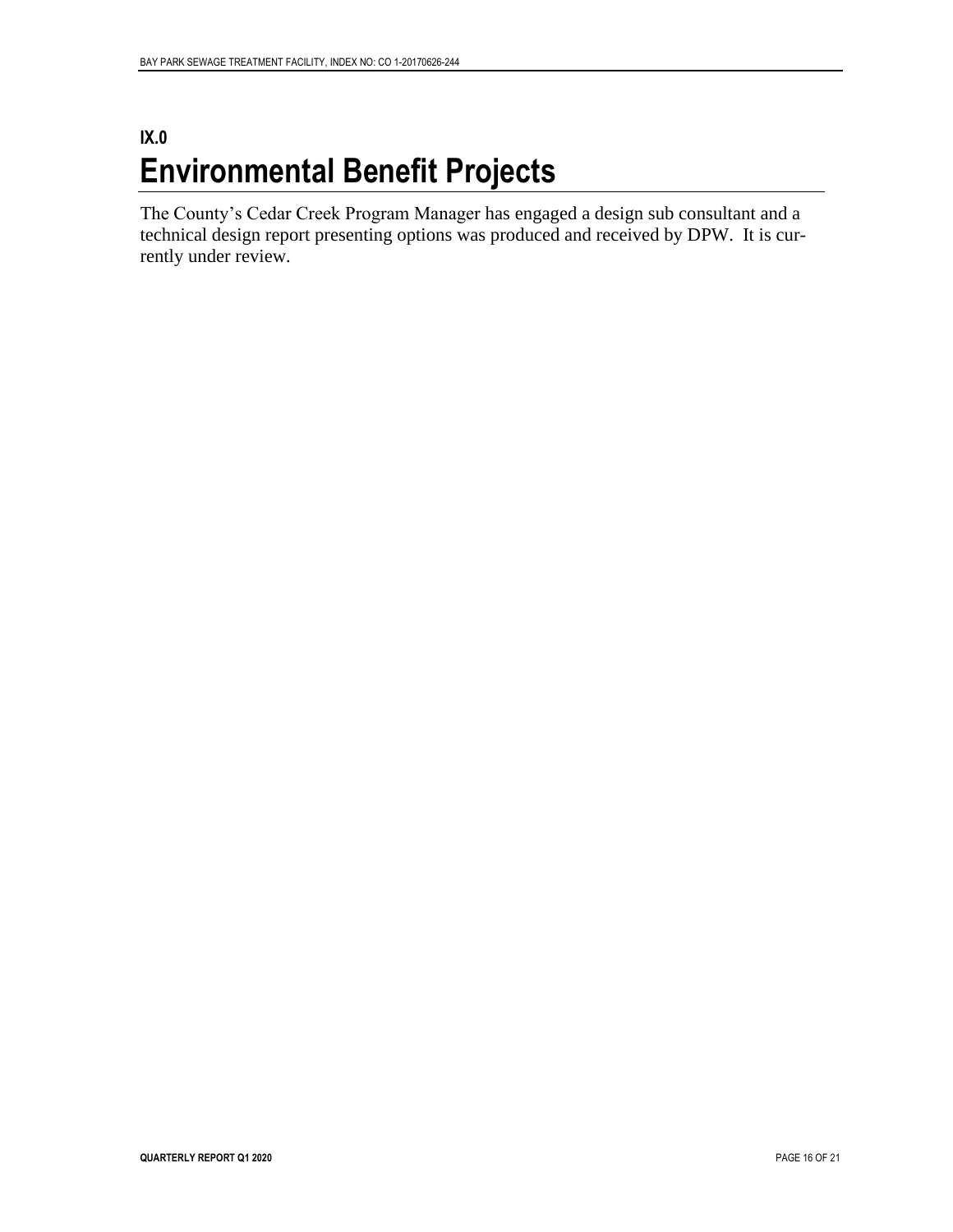### <span id="page-16-0"></span>**IX.0 Environmental Benefit Projects**

The County's Cedar Creek Program Manager has engaged a design sub consultant and a technical design report presenting options was produced and received by DPW. It is currently under review.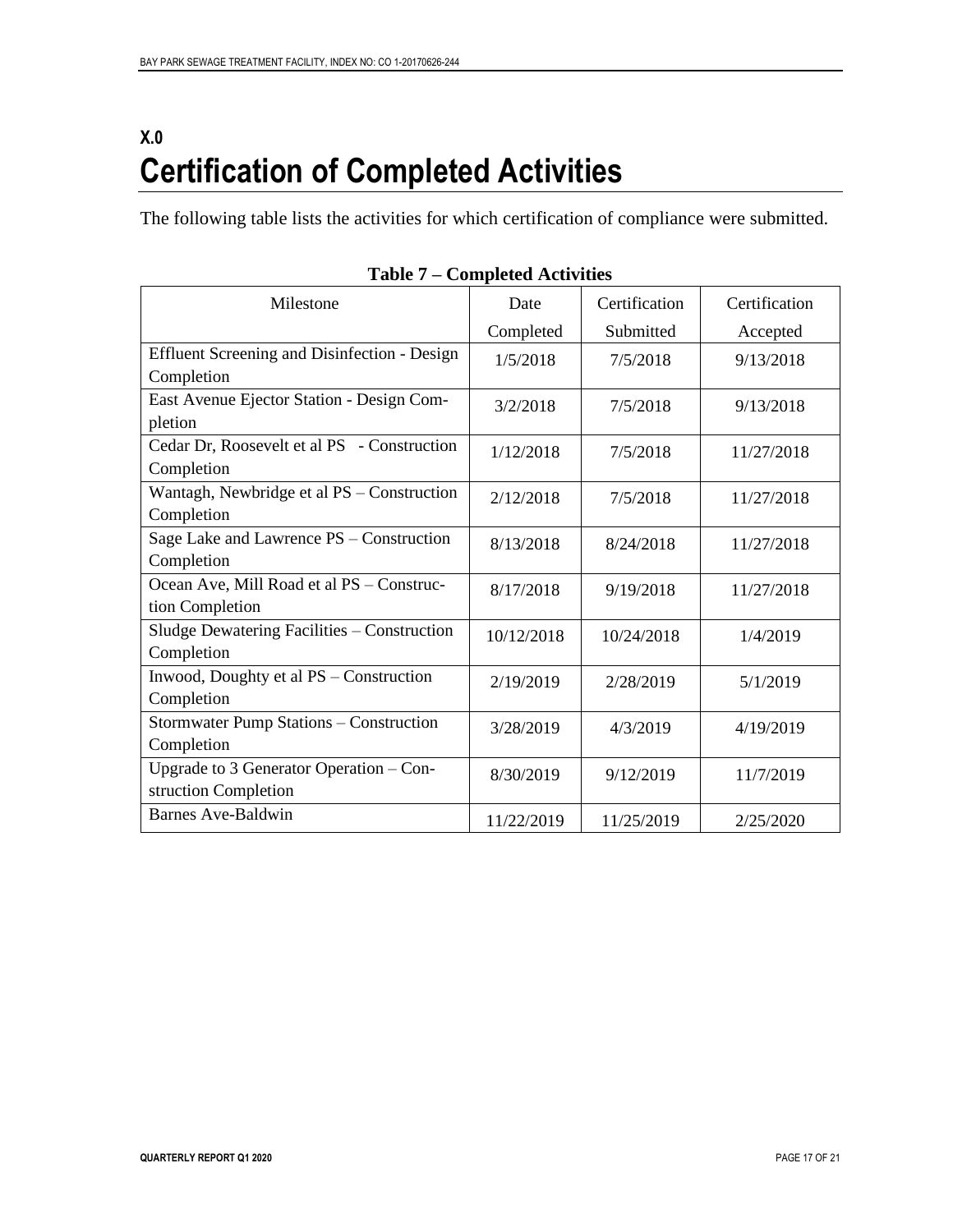### <span id="page-17-0"></span>**X.0 Certification of Completed Activities**

The following table lists the activities for which certification of compliance were submitted.

| Milestone                                           | Date       | Certification | Certification |
|-----------------------------------------------------|------------|---------------|---------------|
|                                                     | Completed  | Submitted     | Accepted      |
| <b>Effluent Screening and Disinfection - Design</b> | 1/5/2018   | 7/5/2018      | 9/13/2018     |
| Completion                                          |            |               |               |
| East Avenue Ejector Station - Design Com-           | 3/2/2018   | 7/5/2018      | 9/13/2018     |
| pletion                                             |            |               |               |
| Cedar Dr, Roosevelt et al PS - Construction         | 1/12/2018  | 7/5/2018      | 11/27/2018    |
| Completion                                          |            |               |               |
| Wantagh, Newbridge et al PS - Construction          | 2/12/2018  | 7/5/2018      | 11/27/2018    |
| Completion                                          |            |               |               |
| Sage Lake and Lawrence PS - Construction            | 8/13/2018  | 8/24/2018     | 11/27/2018    |
| Completion                                          |            |               |               |
| Ocean Ave, Mill Road et al PS - Construc-           | 8/17/2018  | 9/19/2018     | 11/27/2018    |
| tion Completion                                     |            |               |               |
| Sludge Dewatering Facilities – Construction         | 10/12/2018 | 10/24/2018    | 1/4/2019      |
| Completion                                          |            |               |               |
| Inwood, Doughty et al PS – Construction             | 2/19/2019  | 2/28/2019     | 5/1/2019      |
| Completion                                          |            |               |               |
| Stormwater Pump Stations - Construction             | 3/28/2019  | 4/3/2019      | 4/19/2019     |
| Completion                                          |            |               |               |
| Upgrade to 3 Generator Operation - Con-             | 8/30/2019  | 9/12/2019     | 11/7/2019     |
| struction Completion                                |            |               |               |
| Barnes Ave-Baldwin                                  | 11/22/2019 | 11/25/2019    | 2/25/2020     |

**Table 7 – Completed Activities**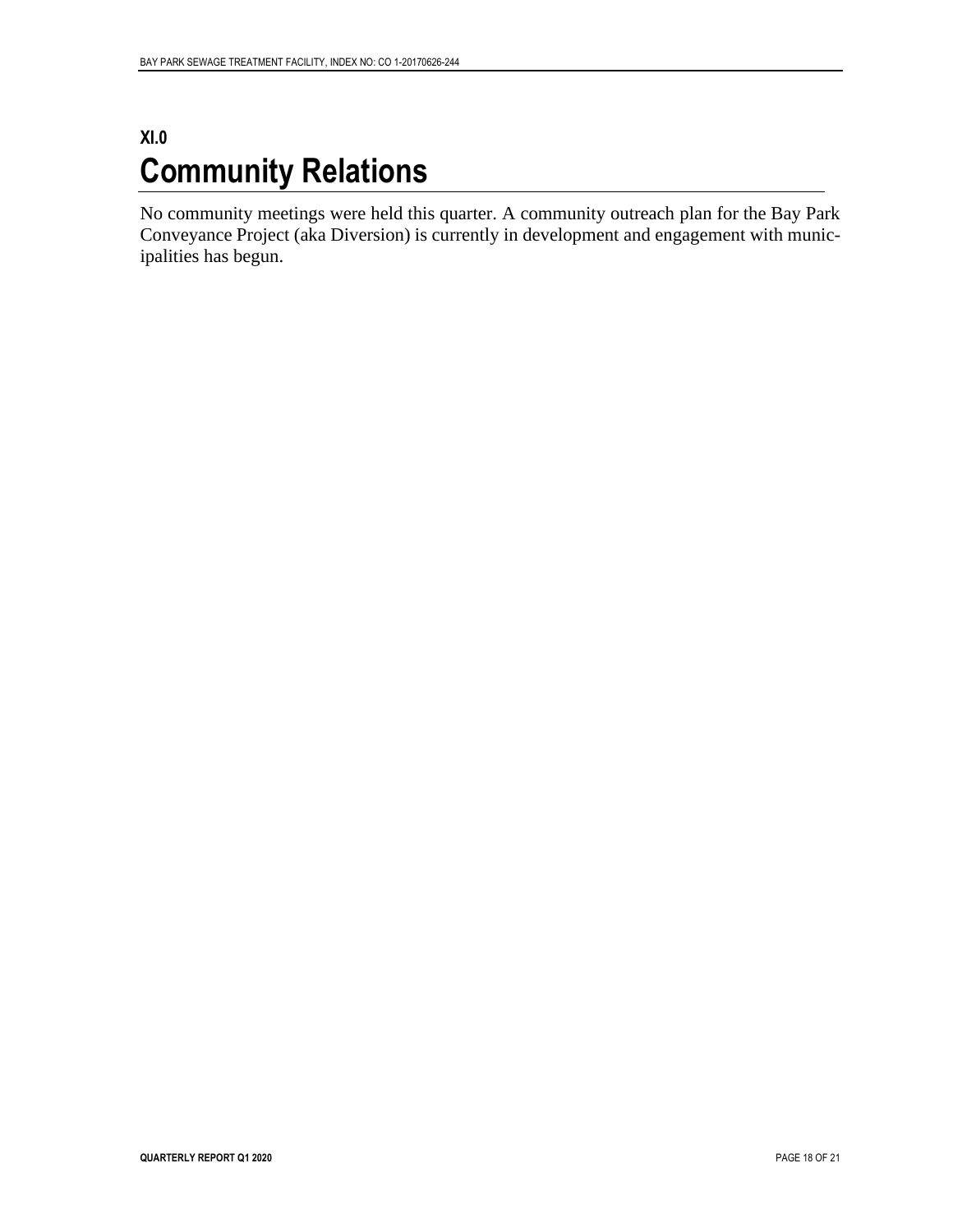### <span id="page-18-0"></span>**XI.0 Community Relations**

No community meetings were held this quarter. A community outreach plan for the Bay Park Conveyance Project (aka Diversion) is currently in development and engagement with municipalities has begun.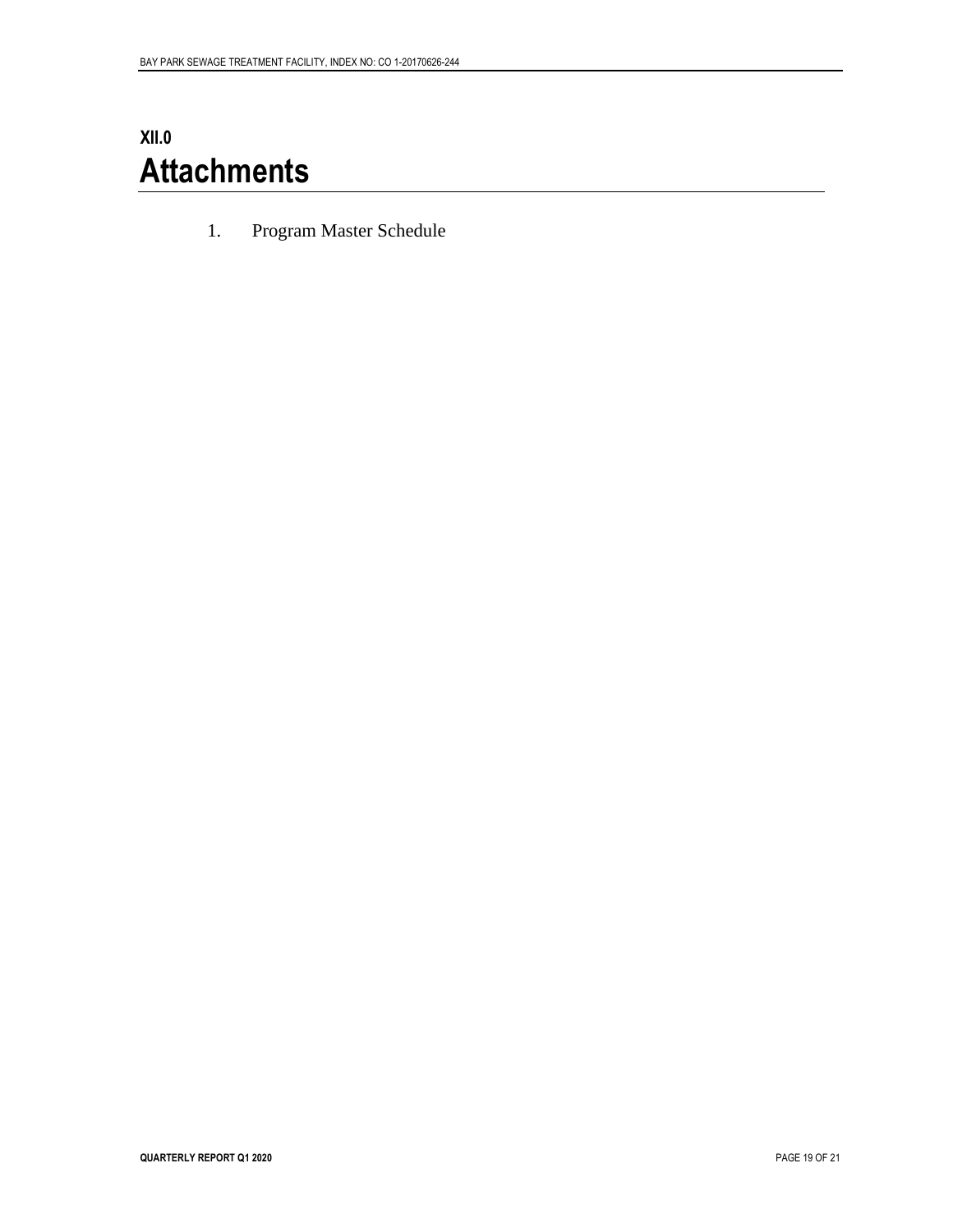## <span id="page-19-0"></span>**XII.0 Attachments**

1. Program Master Schedule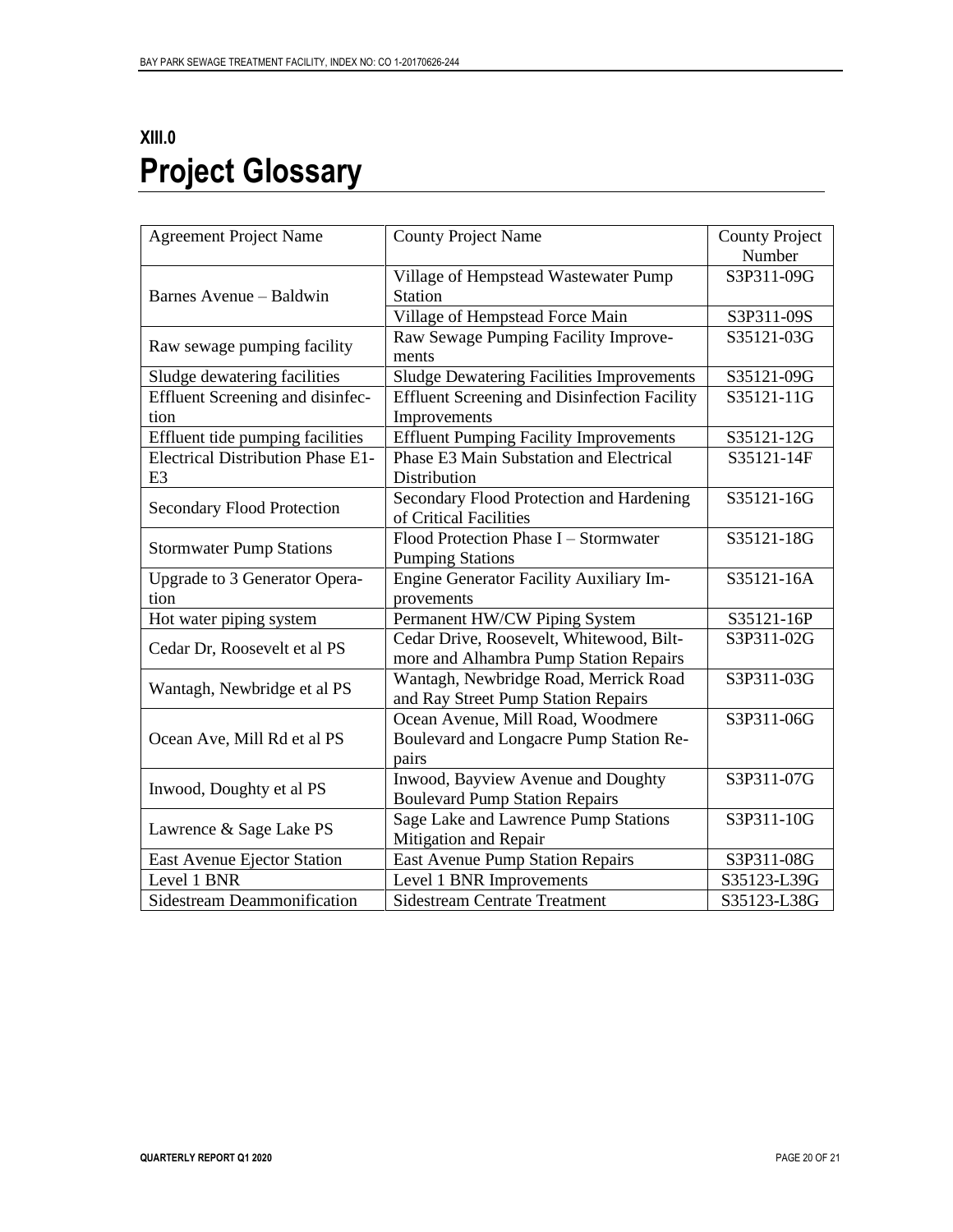# <span id="page-20-0"></span>**XIII.0 Project Glossary**

| <b>Agreement Project Name</b>            | <b>County Project Name</b>                          | <b>County Project</b> |
|------------------------------------------|-----------------------------------------------------|-----------------------|
|                                          |                                                     | Number                |
|                                          | Village of Hempstead Wastewater Pump                | S3P311-09G            |
| Barnes Avenue – Baldwin                  | <b>Station</b>                                      |                       |
|                                          | Village of Hempstead Force Main                     | S3P311-09S            |
|                                          | Raw Sewage Pumping Facility Improve-                | S35121-03G            |
| Raw sewage pumping facility              | ments                                               |                       |
| Sludge dewatering facilities             | <b>Sludge Dewatering Facilities Improvements</b>    | S35121-09G            |
| Effluent Screening and disinfec-         | <b>Effluent Screening and Disinfection Facility</b> | S35121-11G            |
| tion                                     | Improvements                                        |                       |
| Effluent tide pumping facilities         | <b>Effluent Pumping Facility Improvements</b>       | S35121-12G            |
| <b>Electrical Distribution Phase E1-</b> | Phase E3 Main Substation and Electrical             | S35121-14F            |
| E <sub>3</sub>                           | Distribution                                        |                       |
|                                          | Secondary Flood Protection and Hardening            | S35121-16G            |
| <b>Secondary Flood Protection</b>        | of Critical Facilities                              |                       |
|                                          | Flood Protection Phase I - Stormwater               | S35121-18G            |
| <b>Stormwater Pump Stations</b>          | <b>Pumping Stations</b>                             |                       |
| Upgrade to 3 Generator Opera-            | Engine Generator Facility Auxiliary Im-             | S35121-16A            |
| tion                                     | provements                                          |                       |
| Hot water piping system                  | Permanent HW/CW Piping System                       | S35121-16P            |
| Cedar Dr, Roosevelt et al PS             | Cedar Drive, Roosevelt, Whitewood, Bilt-            | S3P311-02G            |
|                                          | more and Alhambra Pump Station Repairs              |                       |
|                                          | Wantagh, Newbridge Road, Merrick Road               | S3P311-03G            |
| Wantagh, Newbridge et al PS              | and Ray Street Pump Station Repairs                 |                       |
|                                          | Ocean Avenue, Mill Road, Woodmere                   | S3P311-06G            |
| Ocean Ave, Mill Rd et al PS              | Boulevard and Longacre Pump Station Re-             |                       |
|                                          | pairs                                               |                       |
| Inwood, Doughty et al PS                 | Inwood, Bayview Avenue and Doughty                  | S3P311-07G            |
|                                          | <b>Boulevard Pump Station Repairs</b>               |                       |
| Lawrence & Sage Lake PS                  | Sage Lake and Lawrence Pump Stations                | S3P311-10G            |
|                                          | Mitigation and Repair                               |                       |
| East Avenue Ejector Station              | <b>East Avenue Pump Station Repairs</b>             | S3P311-08G            |
| Level 1 BNR                              | Level 1 BNR Improvements                            | S35123-L39G           |
| <b>Sidestream Deammonification</b>       | <b>Sidestream Centrate Treatment</b>                | S35123-L38G           |